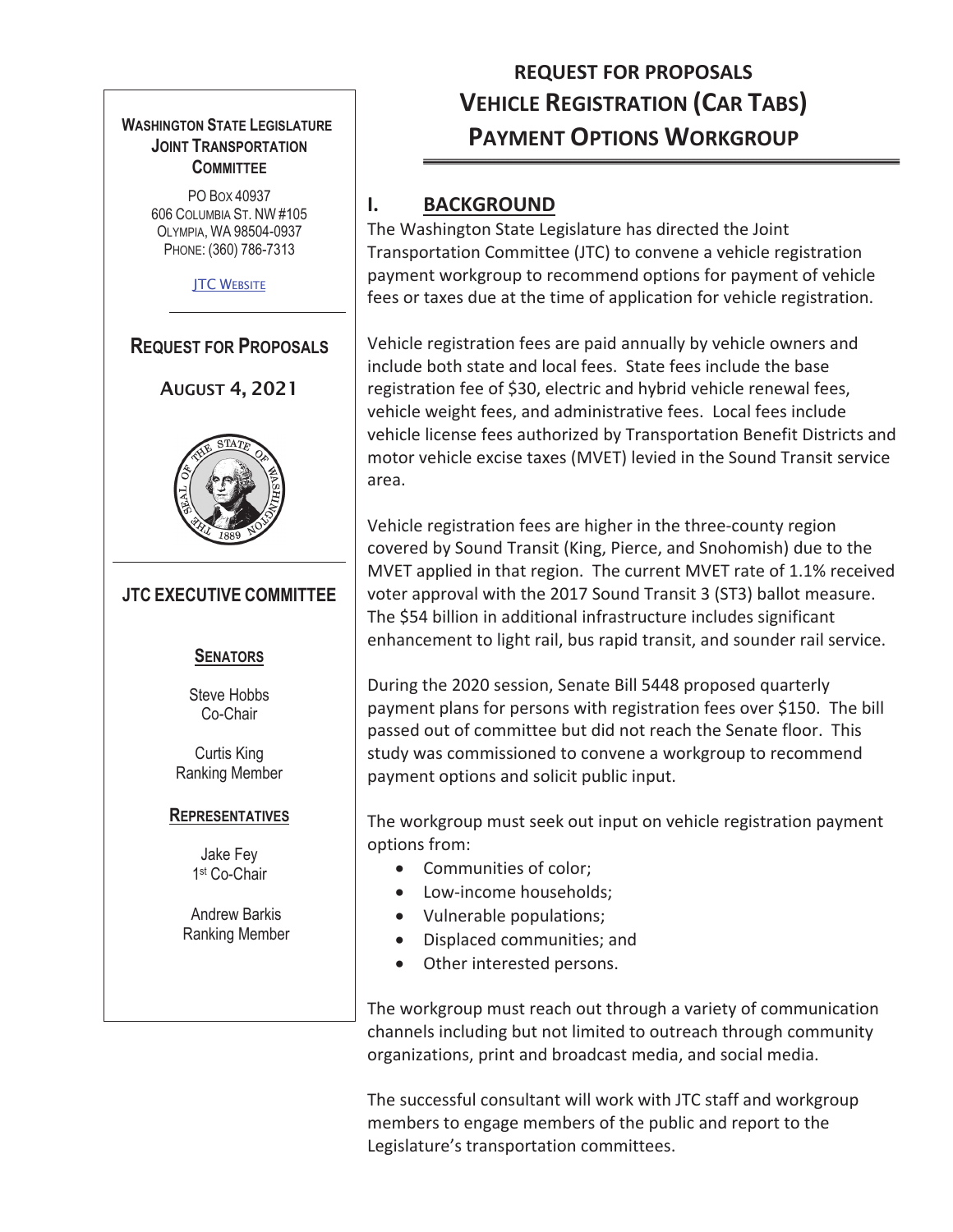

# **VEHICLE REGISTRATION (CAR TABS) REQUEST FOR PROPOSALS PAYMENT OPTIONS WORKGROUP**

## **I. BACKGROUND**

The Washington State Legislature has directed the Joint Transportation Committee (JTC) to convene a vehicle registration payment workgroup to recommend options for payment of vehicle fees or taxes due at the time of application for vehicle registration.

Vehicle registration fees are paid annually by vehicle owners and include both state and local fees. State fees include the base registration fee of \$30, electric and hybrid vehicle renewal fees, vehicle weight fees, and administrative fees. Local fees include vehicle license fees authorized by Transportation Benefit Districts and motor vehicle excise taxes (MVET) levied in the Sound Transit service area.

Vehicle registration fees are higher in the three-county region covered by Sound Transit (King, Pierce, and Snohomish) due to the MVET applied in that region. The current MVET rate of 1.1% received voter approval with the 2017 Sound Transit 3 (ST3) ballot measure. The \$54 billion in additional infrastructure includes significant enhancement to light rail, bus rapid transit, and sounder rail service.

During the 2020 session, Senate Bill 5448 proposed quarterly payment plans for persons with registration fees over \$150. The bill passed out of committee but did not reach the Senate floor. This study was commissioned to convene a workgroup to recommend payment options and solicit public input.

The workgroup must seek out input on vehicle registration payment options from:

- Communities of color;
- Low-income households;
- Vulnerable populations;
- Displaced communities; and
- Other interested persons.

The workgroup must reach out through a variety of communication channels including but not limited to outreach through community organizations, print and broadcast media, and social media.

The successful consultant will work with JTC staff and workgroup members to engage members of the public and report to the Legislature's transportation committees.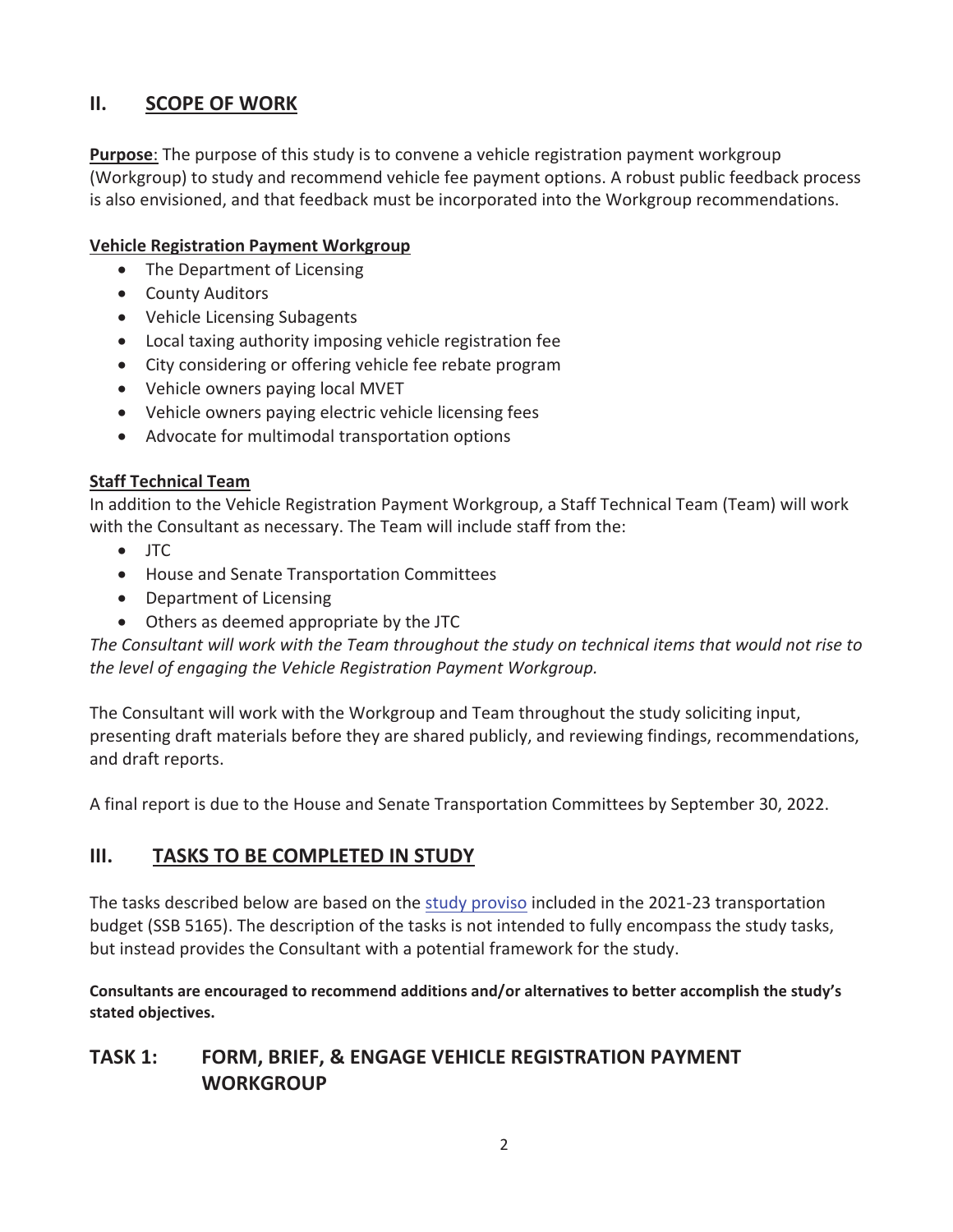#### **II. SCOPE OF WORK**

**Purpose**: The purpose of this study is to convene a vehicle registration payment workgroup (Workgroup) to study and recommend vehicle fee payment options. A robust public feedback process is also envisioned, and that feedback must be incorporated into the Workgroup recommendations.

#### **Vehicle Registration Payment Workgroup**

- The Department of Licensing
- County Auditors
- Vehicle Licensing Subagents
- Local taxing authority imposing vehicle registration fee
- City considering or offering vehicle fee rebate program
- Vehicle owners paying local MVET
- Vehicle owners paying electric vehicle licensing fees
- Advocate for multimodal transportation options

#### **Staff Technical Team**

In addition to the Vehicle Registration Payment Workgroup, a Staff Technical Team (Team) will work with the Consultant as necessary. The Team will include staff from the:

- $\bullet$  ITC
- House and Senate Transportation Committees
- Department of Licensing
- Others as deemed appropriate by the JTC

The Consultant will work with the Team throughout the study on technical items that would not rise to *the level of engaging the Vehicle Registration Payment Workgroup.*

The Consultant will work with the Workgroup and Team throughout the study soliciting input, presenting draft materials before they are shared publicly, and reviewing findings, recommendations, and draft reports.

A final report is due to the House and Senate Transportation Committees by September 30, 2022.

#### **III. TASKS TO BE COMPLETED IN STUDY**

The tasks described below are based on the study proviso included in the 2021-23 transportation budget (SSB 5165). The description of the tasks is not intended to fully encompass the study tasks, but instead provides the Consultant with a potential framework for the study.

**Consultants are encouraged to recommend additions and/or alternatives to better accomplish the study's stated objectives.**

## **TASK 1: FORM, BRIEF, & ENGAGE VEHICLE REGISTRATION PAYMENT WORKGROUP**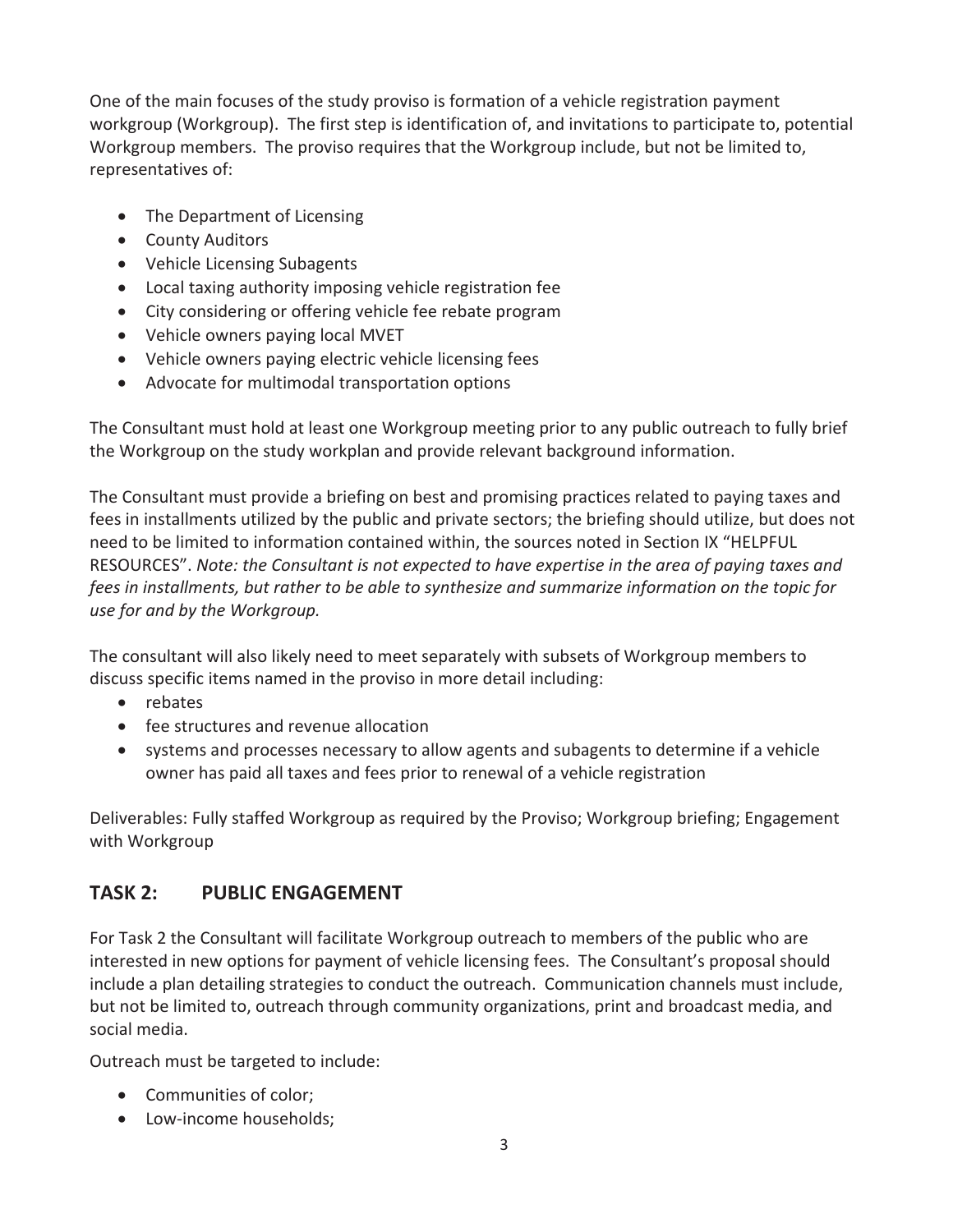One of the main focuses of the study proviso is formation of a vehicle registration payment workgroup (Workgroup). The first step is identification of, and invitations to participate to, potential Workgroup members. The proviso requires that the Workgroup include, but not be limited to, representatives of:

- The Department of Licensing
- County Auditors
- Vehicle Licensing Subagents
- Local taxing authority imposing vehicle registration fee
- City considering or offering vehicle fee rebate program
- Vehicle owners paying local MVET
- Vehicle owners paying electric vehicle licensing fees
- Advocate for multimodal transportation options

The Consultant must hold at least one Workgroup meeting prior to any public outreach to fully brief the Workgroup on the study workplan and provide relevant background information.

The Consultant must provide a briefing on best and promising practices related to paying taxes and fees in installments utilized by the public and private sectors; the briefing should utilize, but does not need to be limited to information contained within, the sources noted in Section IX "HELPFUL RESOURCES". *Note: the Consultant is not expected to have expertise in the area of paying taxes and fees in installments, but rather to be able to synthesize and summarize information on the topic for use for and by the Workgroup.*

The consultant will also likely need to meet separately with subsets of Workgroup members to discuss specific items named in the proviso in more detail including:

- $\bullet$  rebates
- fee structures and revenue allocation
- systems and processes necessary to allow agents and subagents to determine if a vehicle owner has paid all taxes and fees prior to renewal of a vehicle registration

Deliverables: Fully staffed Workgroup as required by the Proviso; Workgroup briefing; Engagement with Workgroup

## **TASK 2: PUBLIC ENGAGEMENT**

For Task 2 the Consultant will facilitate Workgroup outreach to members of the public who are interested in new options for payment of vehicle licensing fees. The Consultant's proposal should include a plan detailing strategies to conduct the outreach. Communication channels must include, but not be limited to, outreach through community organizations, print and broadcast media, and social media.

Outreach must be targeted to include:

- Communities of color;
- Low-income households;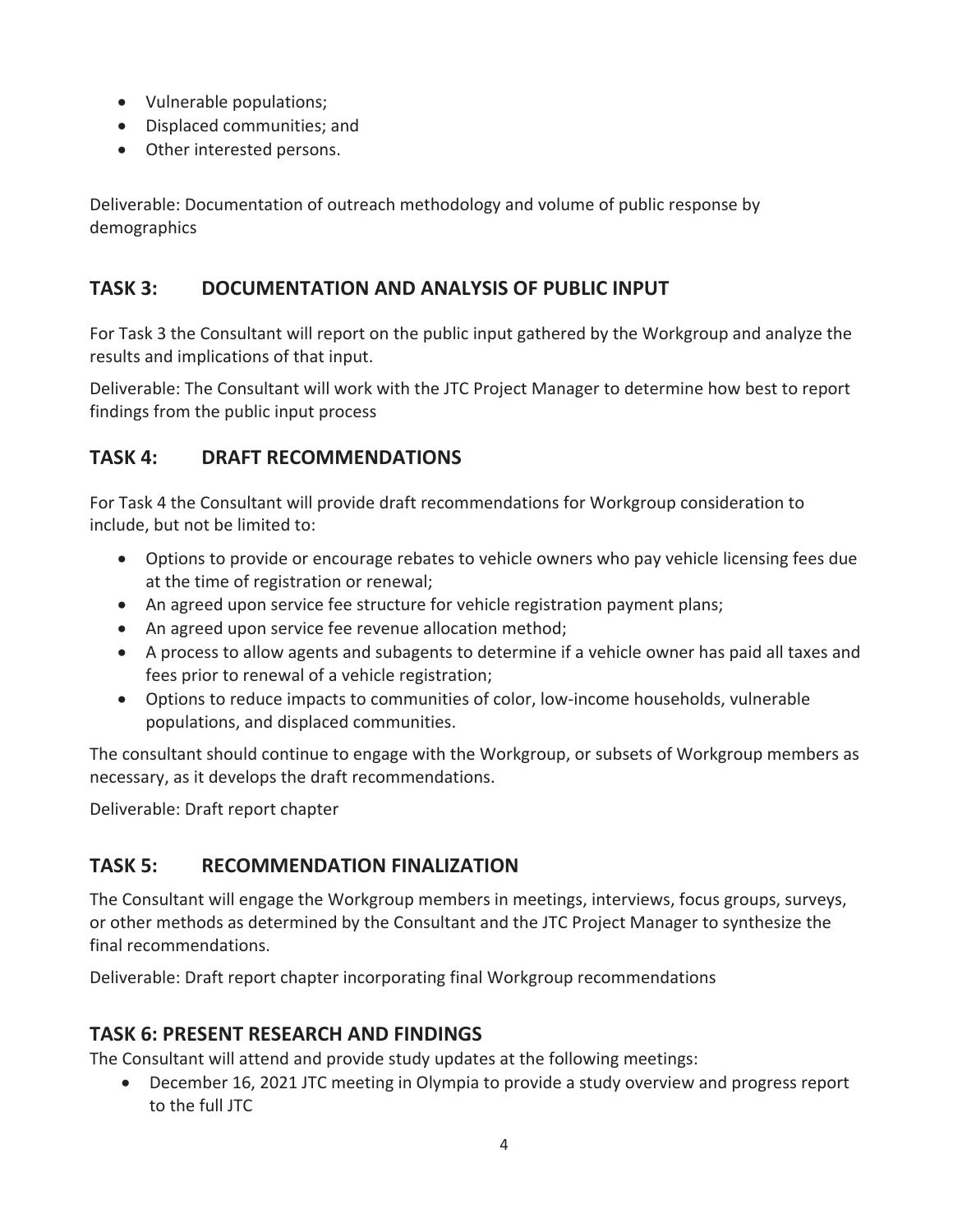- Vulnerable populations;
- Displaced communities; and
- Other interested persons.

Deliverable: Documentation of outreach methodology and volume of public response by demographics

## **TASK 3: DOCUMENTATION AND ANALYSIS OF PUBLIC INPUT**

For Task 3 the Consultant will report on the public input gathered by the Workgroup and analyze the results and implications of that input.

Deliverable: The Consultant will work with the JTC Project Manager to determine how best to report findings from the public input process

## **TASK 4: DRAFT RECOMMENDATIONS**

For Task 4 the Consultant will provide draft recommendations for Workgroup consideration to include, but not be limited to:

- Options to provide or encourage rebates to vehicle owners who pay vehicle licensing fees due at the time of registration or renewal;
- An agreed upon service fee structure for vehicle registration payment plans;
- An agreed upon service fee revenue allocation method;
- A process to allow agents and subagents to determine if a vehicle owner has paid all taxes and fees prior to renewal of a vehicle registration;
- Options to reduce impacts to communities of color, low-income households, vulnerable populations, and displaced communities.

The consultant should continue to engage with the Workgroup, or subsets of Workgroup members as necessary, as it develops the draft recommendations.

Deliverable: Draft report chapter

## **TASK 5: RECOMMENDATION FINALIZATION**

The Consultant will engage the Workgroup members in meetings, interviews, focus groups, surveys, or other methods as determined by the Consultant and the JTC Project Manager to synthesize the final recommendations.

Deliverable: Draft report chapter incorporating final Workgroup recommendations

## **TASK 6: PRESENT RESEARCH AND FINDINGS**

The Consultant will attend and provide study updates at the following meetings:

• December 16, 2021 JTC meeting in Olympia to provide a study overview and progress report to the full JTC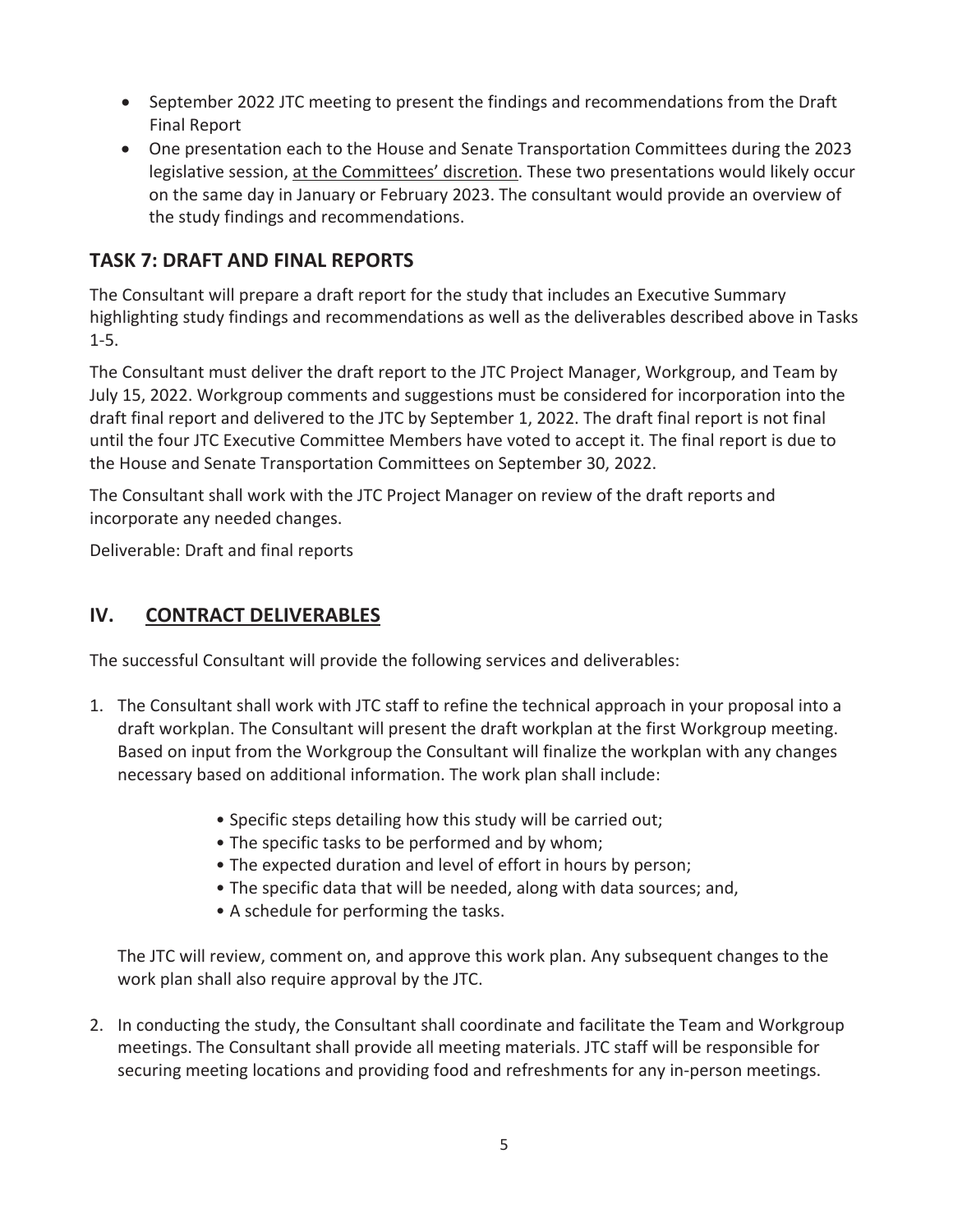- September 2022 JTC meeting to present the findings and recommendations from the Draft Final Report
- One presentation each to the House and Senate Transportation Committees during the 2023 legislative session, at the Committees' discretion. These two presentations would likely occur on the same day in January or February 2023. The consultant would provide an overview of the study findings and recommendations.

#### **TASK 7: DRAFT AND FINAL REPORTS**

The Consultant will prepare a draft report for the study that includes an Executive Summary highlighting study findings and recommendations as well as the deliverables described above in Tasks  $1 - 5.$ 

The Consultant must deliver the draft report to the JTC Project Manager, Workgroup, and Team by July 15, 2022. Workgroup comments and suggestions must be considered for incorporation into the draft final report and delivered to the JTC by September 1, 2022. The draft final report is not final until the four JTC Executive Committee Members have voted to accept it. The final report is due to the House and Senate Transportation Committees on September 30, 2022.

The Consultant shall work with the JTC Project Manager on review of the draft reports and incorporate any needed changes.

Deliverable: Draft and final reports

#### **IV. CONTRACT DELIVERABLES**

The successful Consultant will provide the following services and deliverables:

- 1. The Consultant shall work with JTC staff to refine the technical approach in your proposal into a draft workplan. The Consultant will present the draft workplan at the first Workgroup meeting. Based on input from the Workgroup the Consultant will finalize the workplan with any changes necessary based on additional information. The work plan shall include:
	- Specific steps detailing how this study will be carried out;
	- The specific tasks to be performed and by whom;
	- The expected duration and level of effort in hours by person;
	- The specific data that will be needed, along with data sources; and,
	- A schedule for performing the tasks.

The JTC will review, comment on, and approve this work plan. Any subsequent changes to the work plan shall also require approval by the JTC.

2. In conducting the study, the Consultant shall coordinate and facilitate the Team and Workgroup meetings. The Consultant shall provide all meeting materials. JTC staff will be responsible for securing meeting locations and providing food and refreshments for any in-person meetings.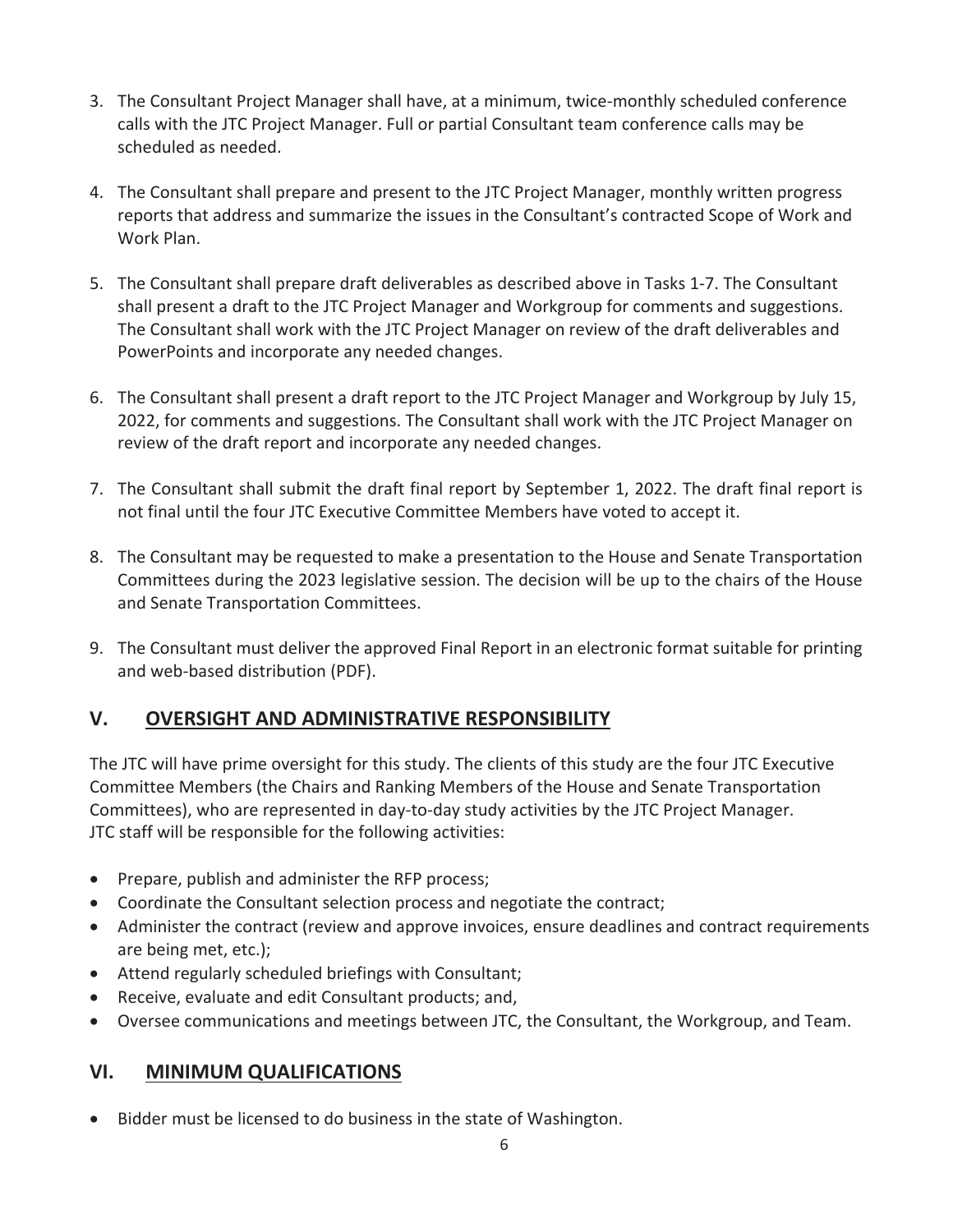- 3. The Consultant Project Manager shall have, at a minimum, twice-monthly scheduled conference calls with the JTC Project Manager. Full or partial Consultant team conference calls may be scheduled as needed.
- 4. The Consultant shall prepare and present to the JTC Project Manager, monthly written progress reports that address and summarize the issues in the Consultant's contracted Scope of Work and Work Plan.
- 5. The Consultant shall prepare draft deliverables as described above in Tasks 1-7. The Consultant shall present a draft to the JTC Project Manager and Workgroup for comments and suggestions. The Consultant shall work with the JTC Project Manager on review of the draft deliverables and PowerPoints and incorporate any needed changes.
- 6. The Consultant shall present a draft report to the JTC Project Manager and Workgroup by July 15, 2022, for comments and suggestions. The Consultant shall work with the JTC Project Manager on review of the draft report and incorporate any needed changes.
- 7. The Consultant shall submit the draft final report by September 1, 2022. The draft final report is not final until the four JTC Executive Committee Members have voted to accept it.
- 8. The Consultant may be requested to make a presentation to the House and Senate Transportation Committees during the 2023 legislative session. The decision will be up to the chairs of the House and Senate Transportation Committees.
- 9. The Consultant must deliver the approved Final Report in an electronic format suitable for printing and web-based distribution (PDF).

## **V. OVERSIGHT AND ADMINISTRATIVE RESPONSIBILITY**

The JTC will have prime oversight for this study. The clients of this study are the four JTC Executive Committee Members (the Chairs and Ranking Members of the House and Senate Transportation Committees), who are represented in day-to-day study activities by the JTC Project Manager. JTC staff will be responsible for the following activities:

- Prepare, publish and administer the RFP process;
- Coordinate the Consultant selection process and negotiate the contract;
- Administer the contract (review and approve invoices, ensure deadlines and contract requirements are being met, etc.);
- Attend regularly scheduled briefings with Consultant;
- Receive, evaluate and edit Consultant products; and,
- Oversee communications and meetings between JTC, the Consultant, the Workgroup, and Team.

## **VI. MINIMUM QUALIFICATIONS**

• Bidder must be licensed to do business in the state of Washington.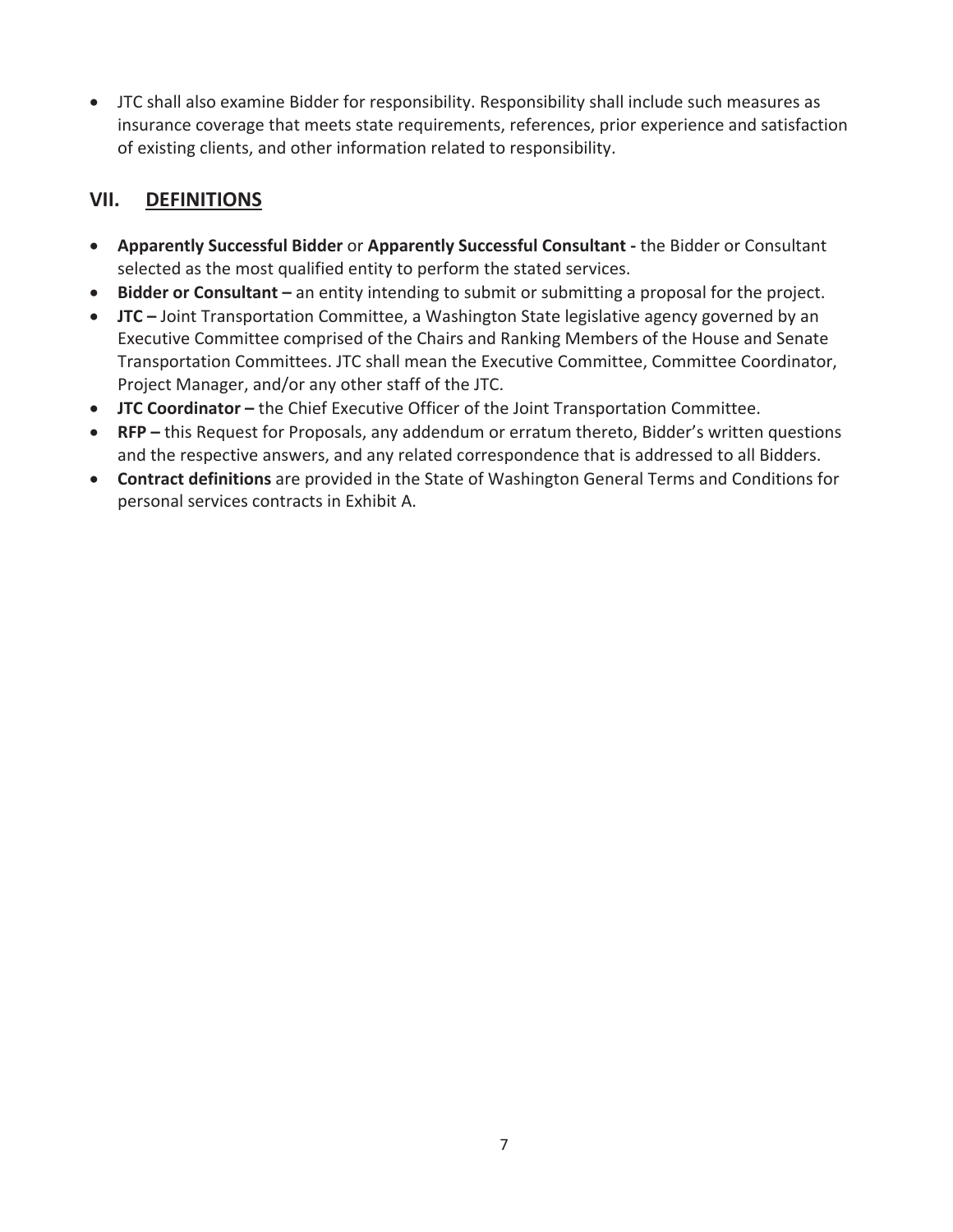• JTC shall also examine Bidder for responsibility. Responsibility shall include such measures as insurance coverage that meets state requirements, references, prior experience and satisfaction of existing clients, and other information related to responsibility.

## **VII. DEFINITIONS**

- **•** Apparently Successful Bidder or Apparently Successful Consultant the Bidder or Consultant selected as the most qualified entity to perform the stated services.
- x **Bidder or Consultant –** an entity intending to submit or submitting a proposal for the project.
- **JTC** Joint Transportation Committee, a Washington State legislative agency governed by an Executive Committee comprised of the Chairs and Ranking Members of the House and Senate Transportation Committees. JTC shall mean the Executive Committee, Committee Coordinator, Project Manager, and/or any other staff of the JTC.
- **JTC Coordinator** the Chief Executive Officer of the Joint Transportation Committee.
- **•** RFP this Request for Proposals, any addendum or erratum thereto, Bidder's written questions and the respective answers, and any related correspondence that is addressed to all Bidders.
- **Contract definitions** are provided in the State of Washington General Terms and Conditions for personal services contracts in Exhibit A.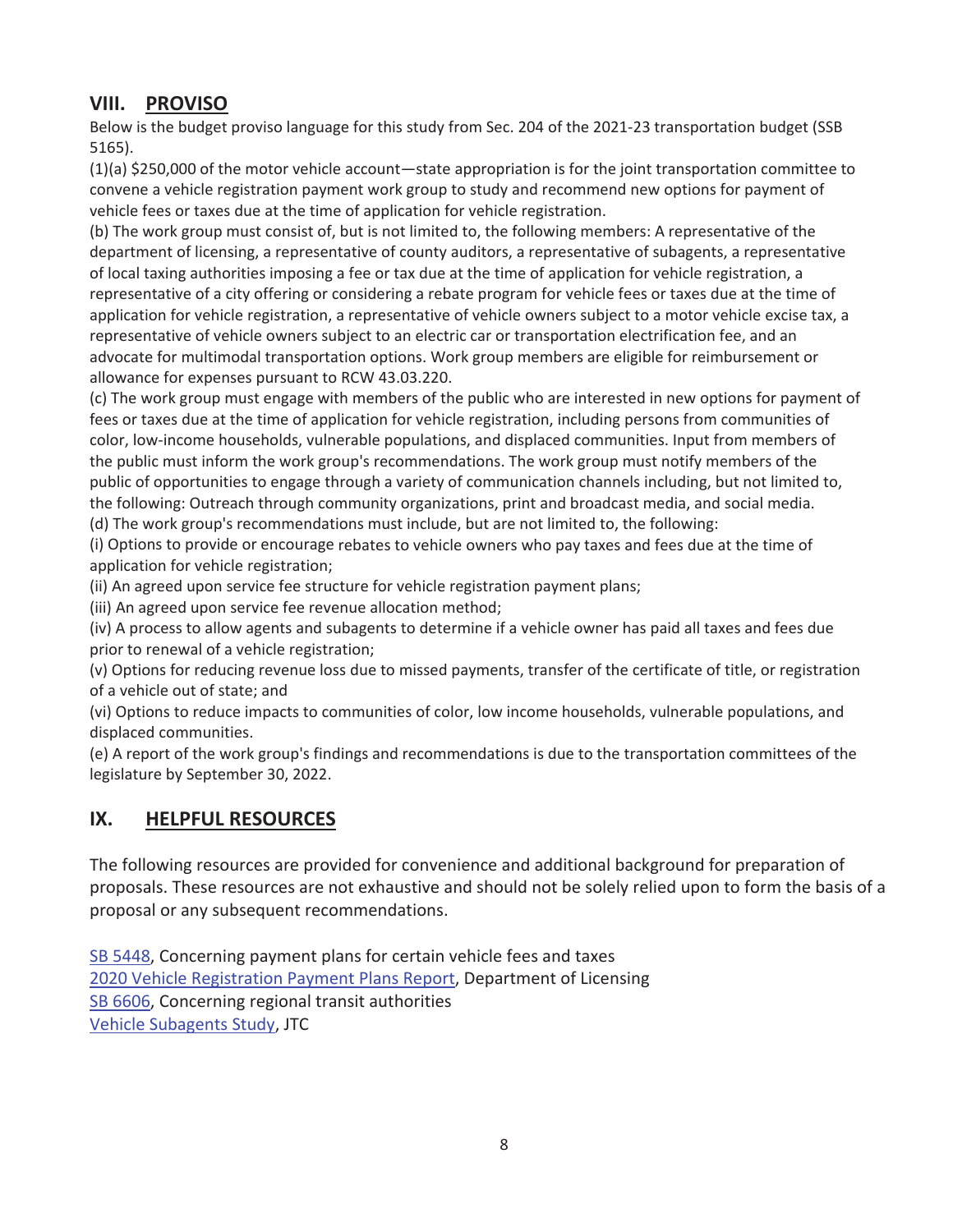## **VIII. PROVISO**

Below is the budget proviso language for this study from Sec. 204 of the 2021-23 transportation budget (SSB 5165).

(1)(a) \$250,000 of the motor vehicle account—state appropriation is for the joint transportation committee to convene a vehicle registration payment work group to study and recommend new options for payment of vehicle fees or taxes due at the time of application for vehicle registration.

(b) The work group must consist of, but is not limited to, the following members: A representative of the department of licensing, a representative of county auditors, a representative of subagents, a representative of local taxing authorities imposing a fee or tax due at the time of application for vehicle registration, a representative of a city offering or considering a rebate program for vehicle fees or taxes due at the time of application for vehicle registration, a representative of vehicle owners subject to a motor vehicle excise tax, a representative of vehicle owners subject to an electric car or transportation electrification fee, and an advocate for multimodal transportation options. Work group members are eligible for reimbursement or allowance for expenses pursuant to RCW 43.03.220.

(c) The work group must engage with members of the public who are interested in new options for payment of fees or taxes due at the time of application for vehicle registration, including persons from communities of color, low-income households, vulnerable populations, and displaced communities. Input from members of the public must inform the work group's recommendations. The work group must notify members of the public of opportunities to engage through a variety of communication channels including, but not limited to, the following: Outreach through community organizations, print and broadcast media, and social media.

(d) The work group's recommendations must include, but are not limited to, the following:

(i) Options to provide or encourage rebates to vehicle owners who pay taxes and fees due at the time of application for vehicle registration;

(ii) An agreed upon service fee structure for vehicle registration payment plans;

(iii) An agreed upon service fee revenue allocation method;

(iv) A process to allow agents and subagents to determine if a vehicle owner has paid all taxes and fees due prior to renewal of a vehicle registration;

(v) Options for reducing revenue loss due to missed payments, transfer of the certificate of title, or registration of a vehicle out of state; and

(vi) Options to reduce impacts to communities of color, low income households, vulnerable populations, and displaced communities.

(e) A report of the work group's findings and recommendations is due to the transportation committees of the legislature by September 30, 2022.

## **IX. HELPFUL RESOURCES**

The following resources are provided for convenience and additional background for preparation of proposals. These resources are not exhaustive and should not be solely relied upon to form the basis of a proposal or any subsequent recommendations.

SB 5448, Concerning payment plans for certain vehicle fees and taxes 2020 Vehicle Registration Payment Plans Report, Department of Licensing SB 6606, Concerning regional transit authorities Vehicle Subagents Study, JTC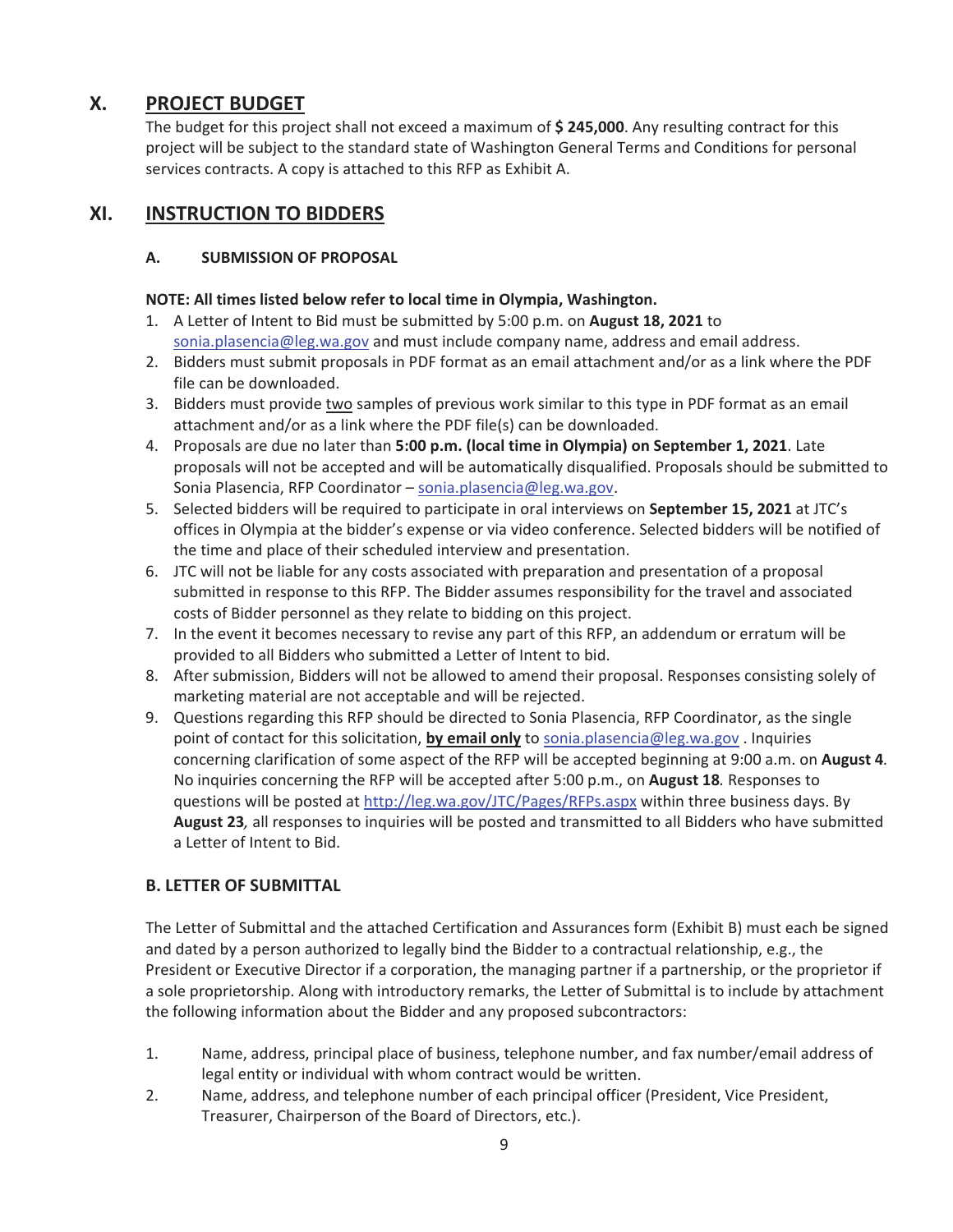#### **X. PROJECT BUDGET**

The budget for this project shall not exceed a maximum of **\$ 245,000**. Any resulting contract for this project will be subject to the standard state of Washington General Terms and Conditions for personal services contracts. A copy is attached to this RFP as Exhibit A.

#### **XI. INSTRUCTION TO BIDDERS**

#### **A. SUBMISSION OF PROPOSAL**

#### **NOTE: All times listed below refer to local time in Olympia, Washington.**

- 1. A Letter of Intent to Bid must be submitted by 5:00 p.m. on **August 18, 2021** to sonia.plasencia@leg.wa.gov and must include company name, address and email address.
- 2. Bidders must submit proposals in PDF format as an email attachment and/or as a link where the PDF file can be downloaded.
- 3. Bidders must provide two samples of previous work similar to this type in PDF format as an email attachment and/or as a link where the PDF file(s) can be downloaded.
- 4. Proposals are due no later than **5:00 p.m. (local time in Olympia) on September 1, 2021**. Late proposals will not be accepted and will be automatically disqualified. Proposals should be submitted to Sonia Plasencia, RFP Coordinator – sonia.plasencia@leg.wa.gov.
- 5. Selected bidders will be required to participate in oral interviews on **September 15, 2021** at JTC's offices in Olympia at the bidder's expense or via video conference. Selected bidders will be notified of the time and place of their scheduled interview and presentation.
- 6. JTC will not be liable for any costs associated with preparation and presentation of a proposal submitted in response to this RFP. The Bidder assumes responsibility for the travel and associated costs of Bidder personnel as they relate to bidding on this project.
- 7. In the event it becomes necessary to revise any part of this RFP, an addendum or erratum will be provided to all Bidders who submitted a Letter of Intent to bid.
- 8. After submission, Bidders will not be allowed to amend their proposal. Responses consisting solely of marketing material are not acceptable and will be rejected.
- 9. Questions regarding this RFP should be directed to Sonia Plasencia, RFP Coordinator, as the single point of contact for this solicitation, **by email only** to sonia.plasencia@leg.wa.gov . Inquiries concerning clarification of some aspect of the RFP will be accepted beginning at 9:00 a.m. on **August 4***.* No inquiries concerning the RFP will be accepted after 5:00 p.m., on **August 18***.* Responses to questions will be posted at http://leg.wa.gov/JTC/Pages/RFPs.aspx within three business days. By **August 23***,* all responses to inquiries will be posted and transmitted to all Bidders who have submitted a Letter of Intent to Bid.

#### **B. LETTER OF SUBMITTAL**

The Letter of Submittal and the attached Certification and Assurances form (Exhibit B) must each be signed and dated by a person authorized to legally bind the Bidder to a contractual relationship, e.g., the President or Executive Director if a corporation, the managing partner if a partnership, or the proprietor if a sole proprietorship. Along with introductory remarks, the Letter of Submittal is to include by attachment the following information about the Bidder and any proposed subcontractors:

- 1. Name, address, principal place of business, telephone number, and fax number/email address of legal entity or individual with whom contract would be written.
- 2. Name, address, and telephone number of each principal officer (President, Vice President, Treasurer, Chairperson of the Board of Directors, etc.).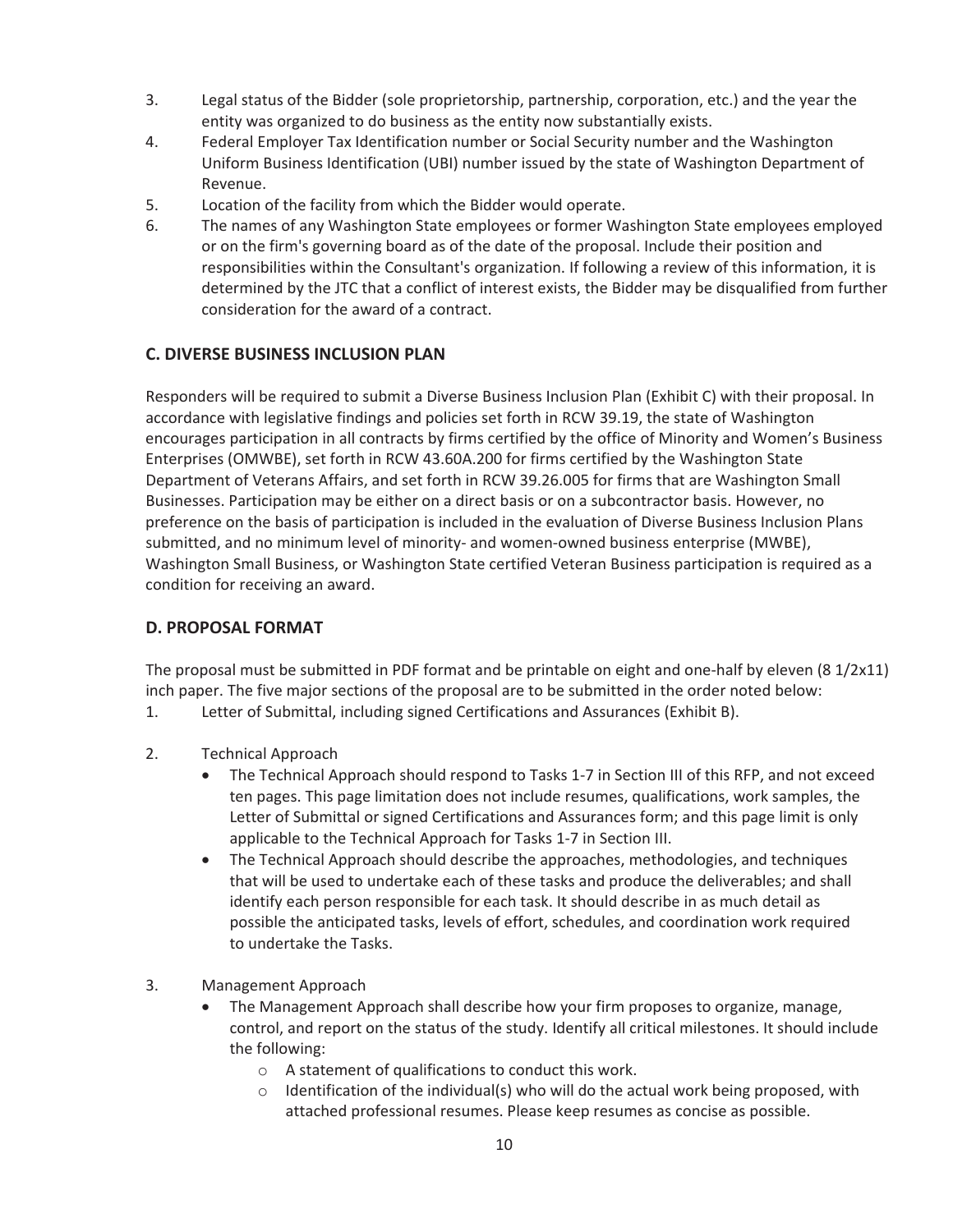- 3. Legal status of the Bidder (sole proprietorship, partnership, corporation, etc.) and the year the entity was organized to do business as the entity now substantially exists.
- 4. Federal Employer Tax Identification number or Social Security number and the Washington Uniform Business Identification (UBI) number issued by the state of Washington Department of Revenue.
- 5. Location of the facility from which the Bidder would operate.
- 6. The names of any Washington State employees or former Washington State employees employed or on the firm's governing board as of the date of the proposal. Include their position and responsibilities within the Consultant's organization. If following a review of this information, it is determined by the JTC that a conflict of interest exists, the Bidder may be disqualified from further consideration for the award of a contract.

#### **C. DIVERSE BUSINESS INCLUSION PLAN**

Responders will be required to submit a Diverse Business Inclusion Plan (Exhibit C) with their proposal. In accordance with legislative findings and policies set forth in RCW 39.19, the state of Washington encourages participation in all contracts by firms certified by the office of Minority and Women's Business Enterprises (OMWBE), set forth in RCW 43.60A.200 for firms certified by the Washington State Department of Veterans Affairs, and set forth in RCW 39.26.005 for firms that are Washington Small Businesses. Participation may be either on a direct basis or on a subcontractor basis. However, no preference on the basis of participation is included in the evaluation of Diverse Business Inclusion Plans submitted, and no minimum level of minority- and women-owned business enterprise (MWBE), Washington Small Business, or Washington State certified Veteran Business participation is required as a condition for receiving an award.

#### **D. PROPOSAL FORMAT**

The proposal must be submitted in PDF format and be printable on eight and one-half by eleven (8  $1/2x11$ ) inch paper. The five major sections of the proposal are to be submitted in the order noted below:

- 1. Letter of Submittal, including signed Certifications and Assurances (Exhibit B).
- 2. Technical Approach
	- The Technical Approach should respond to Tasks 1-7 in Section III of this RFP, and not exceed ten pages. This page limitation does not include resumes, qualifications, work samples, the Letter of Submittal or signed Certifications and Assurances form; and this page limit is only applicable to the Technical Approach for Tasks 1-7 in Section III.
	- x The Technical Approach should describe the approaches, methodologies, and techniques that will be used to undertake each of these tasks and produce the deliverables; and shall identify each person responsible for each task. It should describe in as much detail as possible the anticipated tasks, levels of effort, schedules, and coordination work required to undertake the Tasks.
- 3. Management Approach
	- x The Management Approach shall describe how your firm proposes to organize, manage, control, and report on the status of the study. Identify all critical milestones. It should include the following:
		- o A statement of qualifications to conduct this work.
		- $\circ$  Identification of the individual(s) who will do the actual work being proposed, with attached professional resumes. Please keep resumes as concise as possible.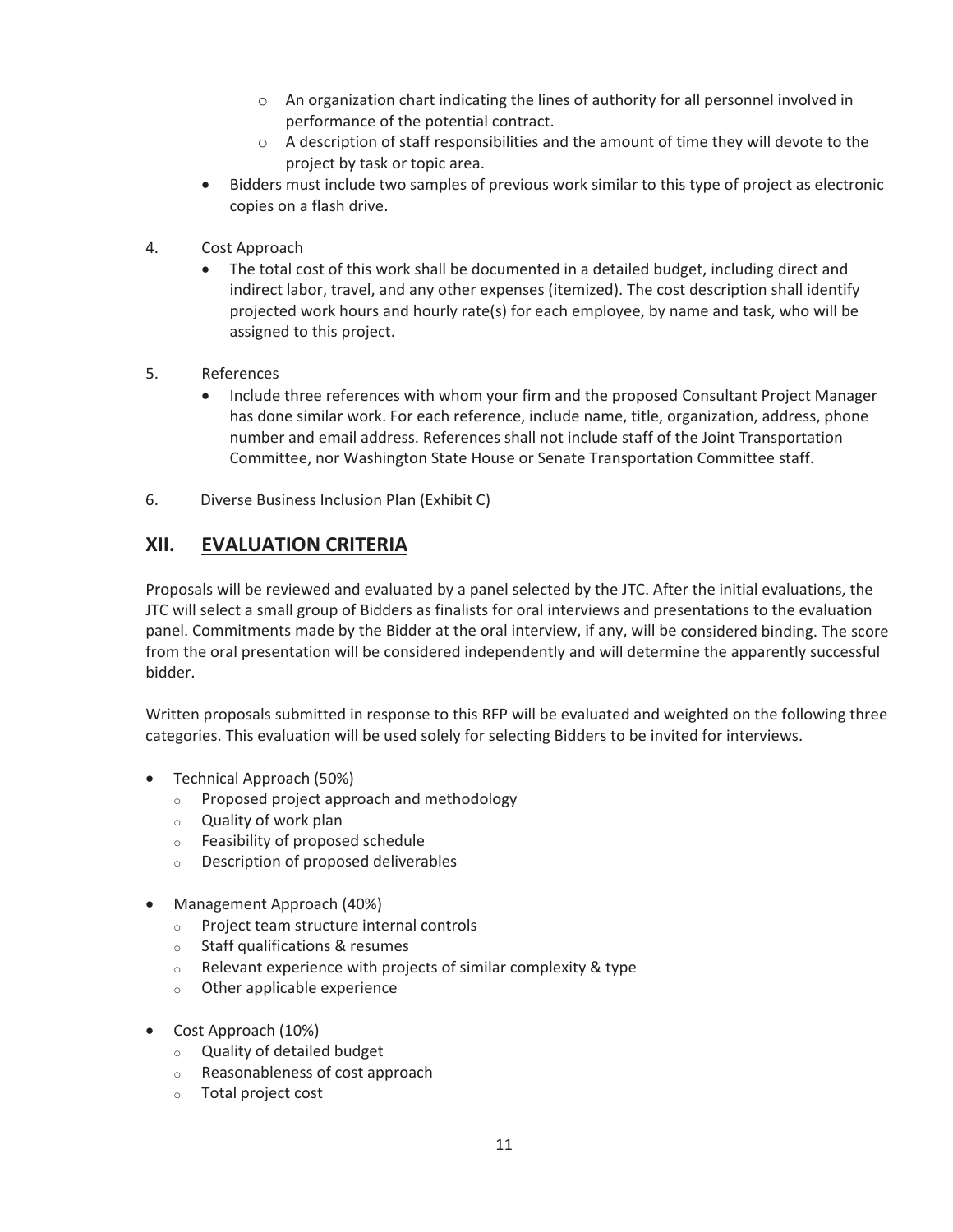- o An organization chart indicating the lines of authority for all personnel involved in performance of the potential contract.
- $\circ$  A description of staff responsibilities and the amount of time they will devote to the project by task or topic area.
- Bidders must include two samples of previous work similar to this type of project as electronic copies on a flash drive.
- 4. Cost Approach
	- The total cost of this work shall be documented in a detailed budget, including direct and indirect labor, travel, and any other expenses (itemized). The cost description shall identify projected work hours and hourly rate(s) for each employee, by name and task, who will be assigned to this project.
- 5. References
	- Include three references with whom your firm and the proposed Consultant Project Manager has done similar work. For each reference, include name, title, organization, address, phone number and email address. References shall not include staff of the Joint Transportation Committee, nor Washington State House or Senate Transportation Committee staff.
- 6. Diverse Business Inclusion Plan (Exhibit C)

## **XII. EVALUATION CRITERIA**

Proposals will be reviewed and evaluated by a panel selected by the JTC. After the initial evaluations, the JTC will select a small group of Bidders as finalists for oral interviews and presentations to the evaluation panel. Commitments made by the Bidder at the oral interview, if any, will be considered binding. The score from the oral presentation will be considered independently and will determine the apparently successful bidder.

Written proposals submitted in response to this RFP will be evaluated and weighted on the following three categories. This evaluation will be used solely for selecting Bidders to be invited for interviews.

- Technical Approach (50%)
	- o Proposed project approach and methodology
	- o Quality of work plan
	- o Feasibility of proposed schedule
	- o Description of proposed deliverables
- Management Approach (40%)
	- o Project team structure internal controls
	- o Staff qualifications & resumes
	- $\circ$  Relevant experience with projects of similar complexity & type
	- o Other applicable experience
- $\bullet$  Cost Approach (10%)
	- o Quality of detailed budget
	- o Reasonableness of cost approach
	- o Total project cost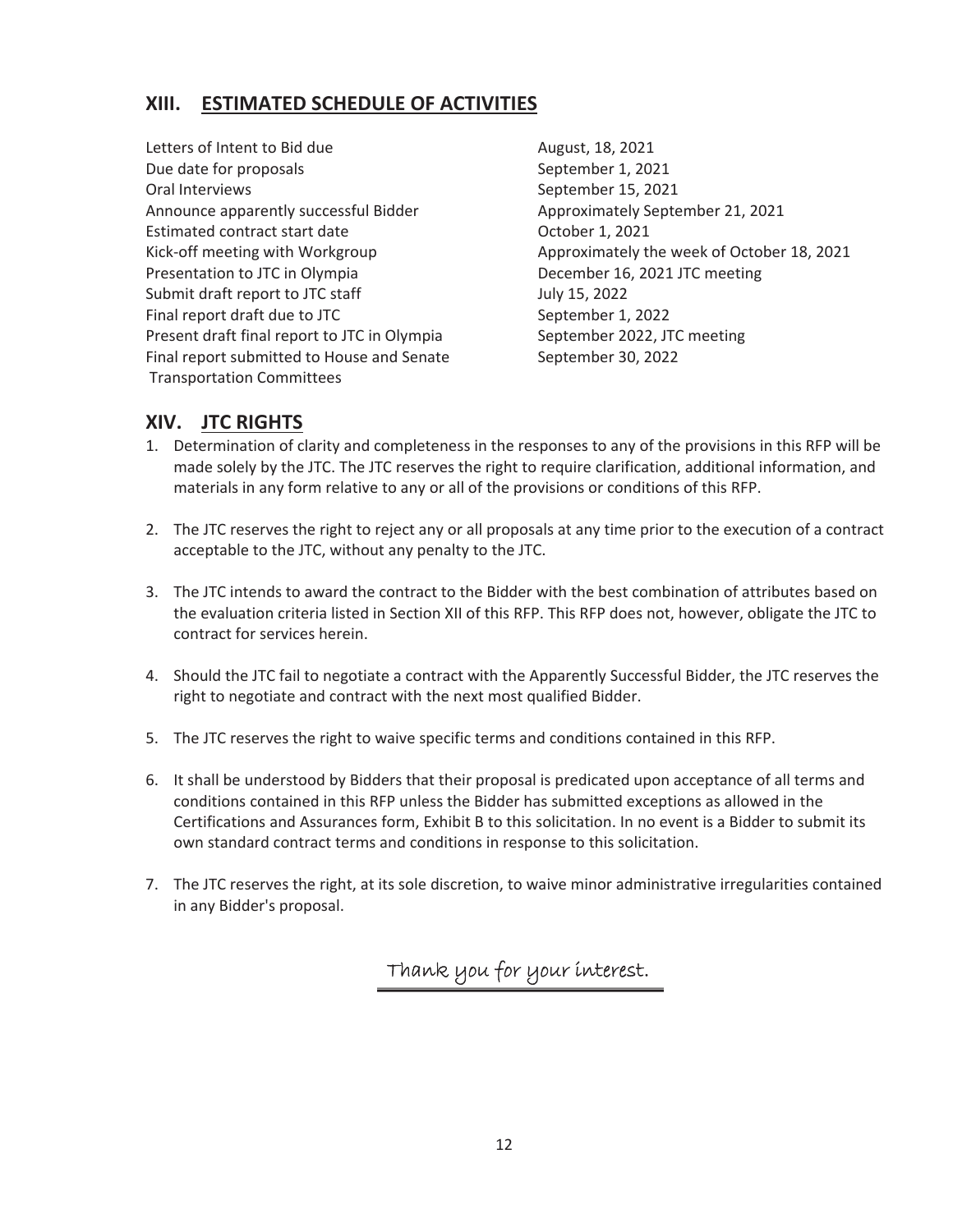#### **XIII. ESTIMATED SCHEDULE OF ACTIVITIES**

Letters of Intent to Bid due<br>
August, 18, 2021 Due date for proposals and the september 1, 2021 Oral Interviews **Called Accord 2021** September 15, 2021 Announce apparently successful Bidder **Approximately September 21, 2021** Estimated contract start date **Solution** Corresponding Corresponding Corresponding Corresponding Corresponding Corresponding Corresponding Corresponding Corresponding Corresponding Corresponding Corresponding Correspondin Presentation to JTC in Olympia **December 16, 2021 JTC meeting** Submit draft report to JTC staff July 15, 2022 Final report draft due to JTC September 1, 2022 Present draft final report to JTC in Olympia September 2022, JTC meeting Final report submitted to House and Senate September 30, 2022 Transportation Committees

Kick-off meeting with Workgroup Approximately the week of October 18, 2021

#### **XIV. JTC RIGHTS**

- 1. Determination of clarity and completeness in the responses to any of the provisions in this RFP will be made solely by the JTC. The JTC reserves the right to require clarification, additional information, and materials in any form relative to any or all of the provisions or conditions of this RFP.
- 2. The JTC reserves the right to reject any or all proposals at any time prior to the execution of a contract acceptable to the JTC, without any penalty to the JTC.
- 3. The JTC intends to award the contract to the Bidder with the best combination of attributes based on the evaluation criteria listed in Section XII of this RFP. This RFP does not, however, obligate the JTC to contract for services herein.
- 4. Should the JTC fail to negotiate a contract with the Apparently Successful Bidder, the JTC reserves the right to negotiate and contract with the next most qualified Bidder.
- 5. The JTC reserves the right to waive specific terms and conditions contained in this RFP.
- 6. It shall be understood by Bidders that their proposal is predicated upon acceptance of all terms and conditions contained in this RFP unless the Bidder has submitted exceptions as allowed in the Certifications and Assurances form, Exhibit B to this solicitation. In no event is a Bidder to submit its own standard contract terms and conditions in response to this solicitation.
- 7. The JTC reserves the right, at its sole discretion, to waive minor administrative irregularities contained in any Bidder's proposal.

Thank you for your interest.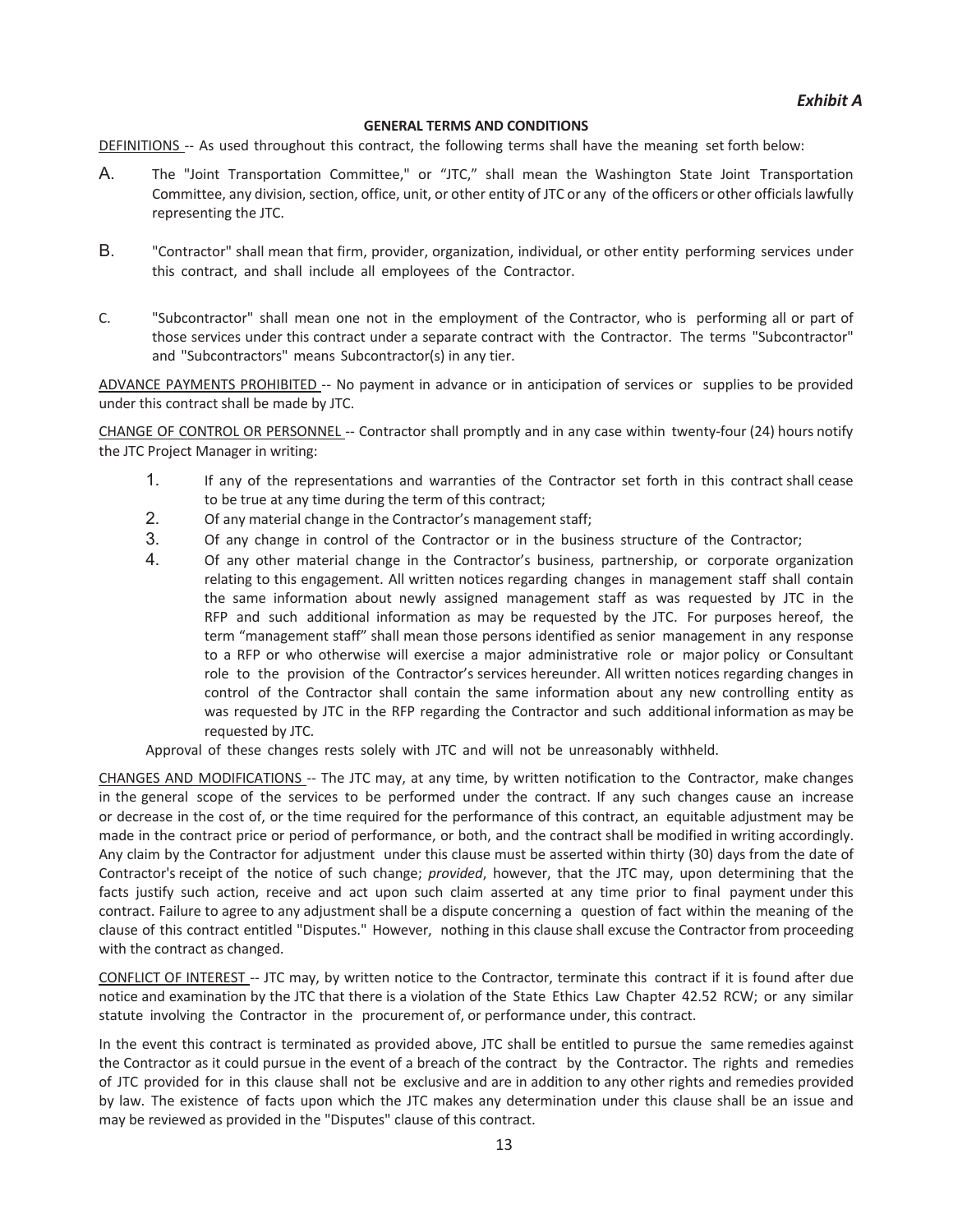#### **GENERAL TERMS AND CONDITIONS**

DEFINITIONS -- As used throughout this contract, the following terms shall have the meaning set forth below:

- A. The "Joint Transportation Committee," or "JTC," shall mean the Washington State Joint Transportation Committee, any division, section, office, unit, or other entity of JTC or any of the officers or other officialslawfully representing the JTC.
- B. "Contractor" shall mean that firm, provider, organization, individual, or other entity performing services under this contract, and shall include all employees of the Contractor.
- C. "Subcontractor" shall mean one not in the employment of the Contractor, who is performing all or part of those services under this contract under a separate contract with the Contractor. The terms "Subcontractor" and "Subcontractors" means Subcontractor(s) in any tier.

ADVANCE PAYMENTS PROHIBITED -- No payment in advance or in anticipation of services or supplies to be provided under this contract shall be made by JTC.

CHANGE OF CONTROL OR PERSONNEL -- Contractor shall promptly and in any case within twenty-four (24) hours notify the JTC Project Manager in writing:

- 1. If any of the representations and warranties of the Contractor set forth in this contract shall cease to be true at any time during the term of this contract;
- 2. Of any material change in the Contractor's management staff;
- 3. Of any change in control of the Contractor or in the business structure of the Contractor;
- 4. Of any other material change in the Contractor's business, partnership, or corporate organization relating to this engagement. All written notices regarding changes in management staff shall contain the same information about newly assigned management staff as was requested by JTC in the RFP and such additional information as may be requested by the JTC. For purposes hereof, the term "management staff" shall mean those persons identified as senior management in any response to a RFP or who otherwise will exercise a major administrative role or major policy or Consultant role to the provision of the Contractor's services hereunder. All written notices regarding changes in control of the Contractor shall contain the same information about any new controlling entity as was requested by JTC in the RFP regarding the Contractor and such additional information as may be requested by JTC.

Approval of these changes rests solely with JTC and will not be unreasonably withheld.

CHANGES AND MODIFICATIONS -- The JTC may, at any time, by written notification to the Contractor, make changes in the general scope of the services to be performed under the contract. If any such changes cause an increase or decrease in the cost of, or the time required for the performance of this contract, an equitable adjustment may be made in the contract price or period of performance, or both, and the contract shall be modified in writing accordingly. Any claim by the Contractor for adjustment under this clause must be asserted within thirty (30) days from the date of Contractor's receipt of the notice of such change; *provided*, however, that the JTC may, upon determining that the facts justify such action, receive and act upon such claim asserted at any time prior to final payment under this contract. Failure to agree to any adjustment shall be a dispute concerning a question of fact within the meaning of the clause of this contract entitled "Disputes." However, nothing in this clause shall excuse the Contractor from proceeding with the contract as changed.

CONFLICT OF INTEREST -- JTC may, by written notice to the Contractor, terminate this contract if it is found after due notice and examination by the JTC that there is a violation of the State Ethics Law Chapter 42.52 RCW; or any similar statute involving the Contractor in the procurement of, or performance under, this contract.

In the event this contract is terminated as provided above, JTC shall be entitled to pursue the same remedies against the Contractor as it could pursue in the event of a breach of the contract by the Contractor. The rights and remedies of JTC provided for in this clause shall not be exclusive and are in addition to any other rights and remedies provided by law. The existence of facts upon which the JTC makes any determination under this clause shall be an issue and may be reviewed as provided in the "Disputes" clause of this contract.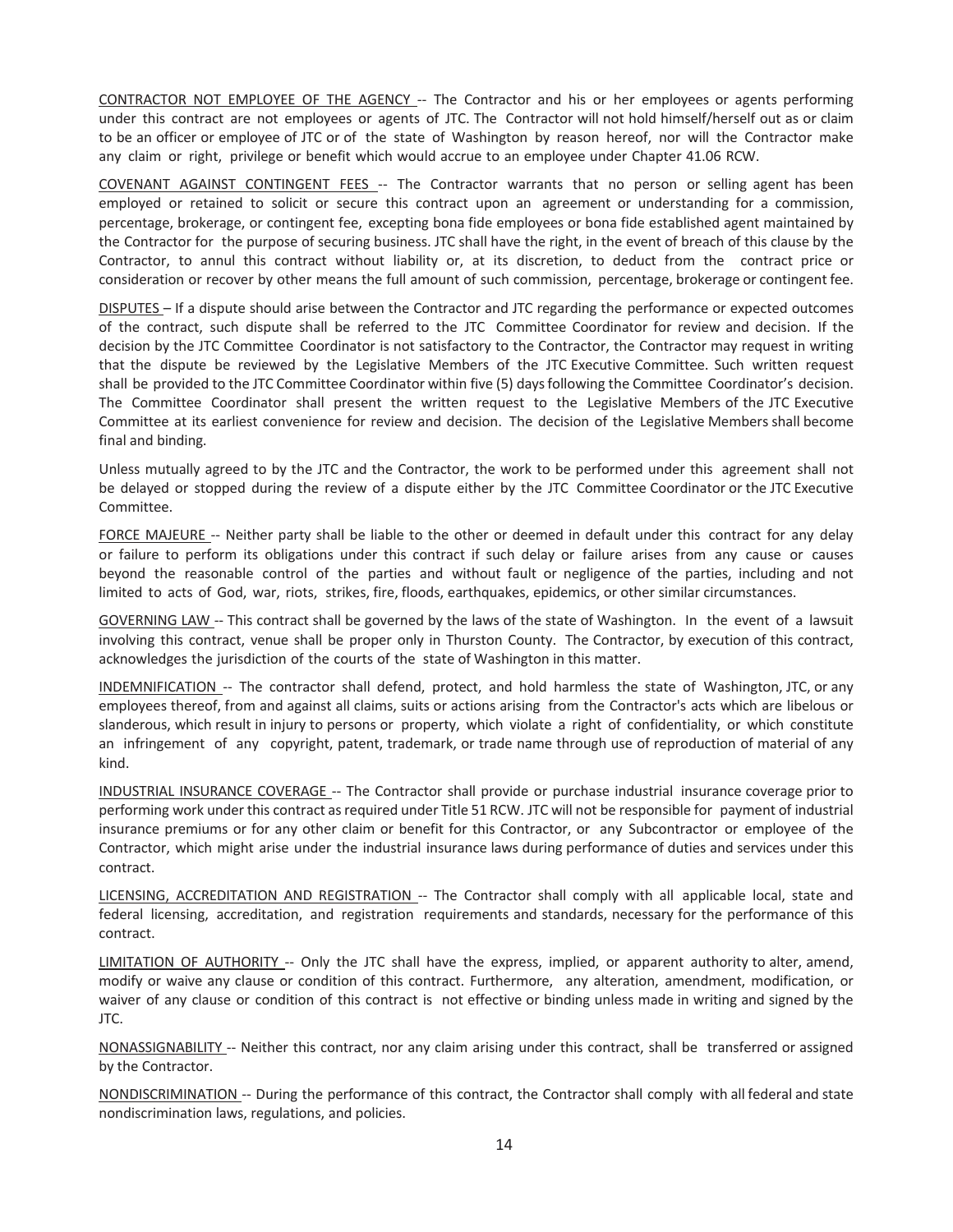CONTRACTOR NOT EMPLOYEE OF THE AGENCY -- The Contractor and his or her employees or agents performing under this contract are not employees or agents of JTC. The Contractor will not hold himself/herself out as or claim to be an officer or employee of JTC or of the state of Washington by reason hereof, nor will the Contractor make any claim or right, privilege or benefit which would accrue to an employee under Chapter 41.06 RCW.

COVENANT AGAINST CONTINGENT FEES -- The Contractor warrants that no person or selling agent has been employed or retained to solicit or secure this contract upon an agreement or understanding for a commission, percentage, brokerage, or contingent fee, excepting bona fide employees or bona fide established agent maintained by the Contractor for the purpose of securing business. JTC shall have the right, in the event of breach of this clause by the Contractor, to annul this contract without liability or, at its discretion, to deduct from the contract price or consideration or recover by other means the full amount of such commission, percentage, brokerage or contingent fee.

DISPUTES – If a dispute should arise between the Contractor and JTC regarding the performance or expected outcomes of the contract, such dispute shall be referred to the JTC Committee Coordinator for review and decision. If the decision by the JTC Committee Coordinator is not satisfactory to the Contractor, the Contractor may request in writing that the dispute be reviewed by the Legislative Members of the JTC Executive Committee. Such written request shall be provided to the JTC Committee Coordinator within five (5) daysfollowing the Committee Coordinator's decision. The Committee Coordinator shall present the written request to the Legislative Members of the JTC Executive Committee at its earliest convenience for review and decision. The decision of the Legislative Members shall become final and binding.

Unless mutually agreed to by the JTC and the Contractor, the work to be performed under this agreement shall not be delayed or stopped during the review of a dispute either by the JTC Committee Coordinator or the JTC Executive Committee.

FORCE MAJEURE -- Neither party shall be liable to the other or deemed in default under this contract for any delay or failure to perform its obligations under this contract if such delay or failure arises from any cause or causes beyond the reasonable control of the parties and without fault or negligence of the parties, including and not limited to acts of God, war, riots, strikes, fire, floods, earthquakes, epidemics, or other similar circumstances.

GOVERNING LAW -- This contract shall be governed by the laws of the state of Washington. In the event of a lawsuit involving this contract, venue shall be proper only in Thurston County. The Contractor, by execution of this contract, acknowledges the jurisdiction of the courts of the state of Washington in this matter.

INDEMNIFICATION -- The contractor shall defend, protect, and hold harmless the state of Washington, JTC, or any employees thereof, from and against all claims, suits or actions arising from the Contractor's acts which are libelous or slanderous, which result in injury to persons or property, which violate a right of confidentiality, or which constitute an infringement of any copyright, patent, trademark, or trade name through use of reproduction of material of any kind.

INDUSTRIAL INSURANCE COVERAGE -- The Contractor shall provide or purchase industrial insurance coverage prior to performing work under this contract as required under Title 51 RCW. JTC will not be responsible for payment of industrial insurance premiums or for any other claim or benefit for this Contractor, or any Subcontractor or employee of the Contractor, which might arise under the industrial insurance laws during performance of duties and services under this contract.

LICENSING, ACCREDITATION AND REGISTRATION -- The Contractor shall comply with all applicable local, state and federal licensing, accreditation, and registration requirements and standards, necessary for the performance of this contract.

LIMITATION OF AUTHORITY -- Only the JTC shall have the express, implied, or apparent authority to alter, amend, modify or waive any clause or condition of this contract. Furthermore, any alteration, amendment, modification, or waiver of any clause or condition of this contract is not effective or binding unless made in writing and signed by the JTC.

NONASSIGNABILITY -- Neither this contract, nor any claim arising under this contract, shall be transferred or assigned by the Contractor.

NONDISCRIMINATION -- During the performance of this contract, the Contractor shall comply with all federal and state nondiscrimination laws, regulations, and policies.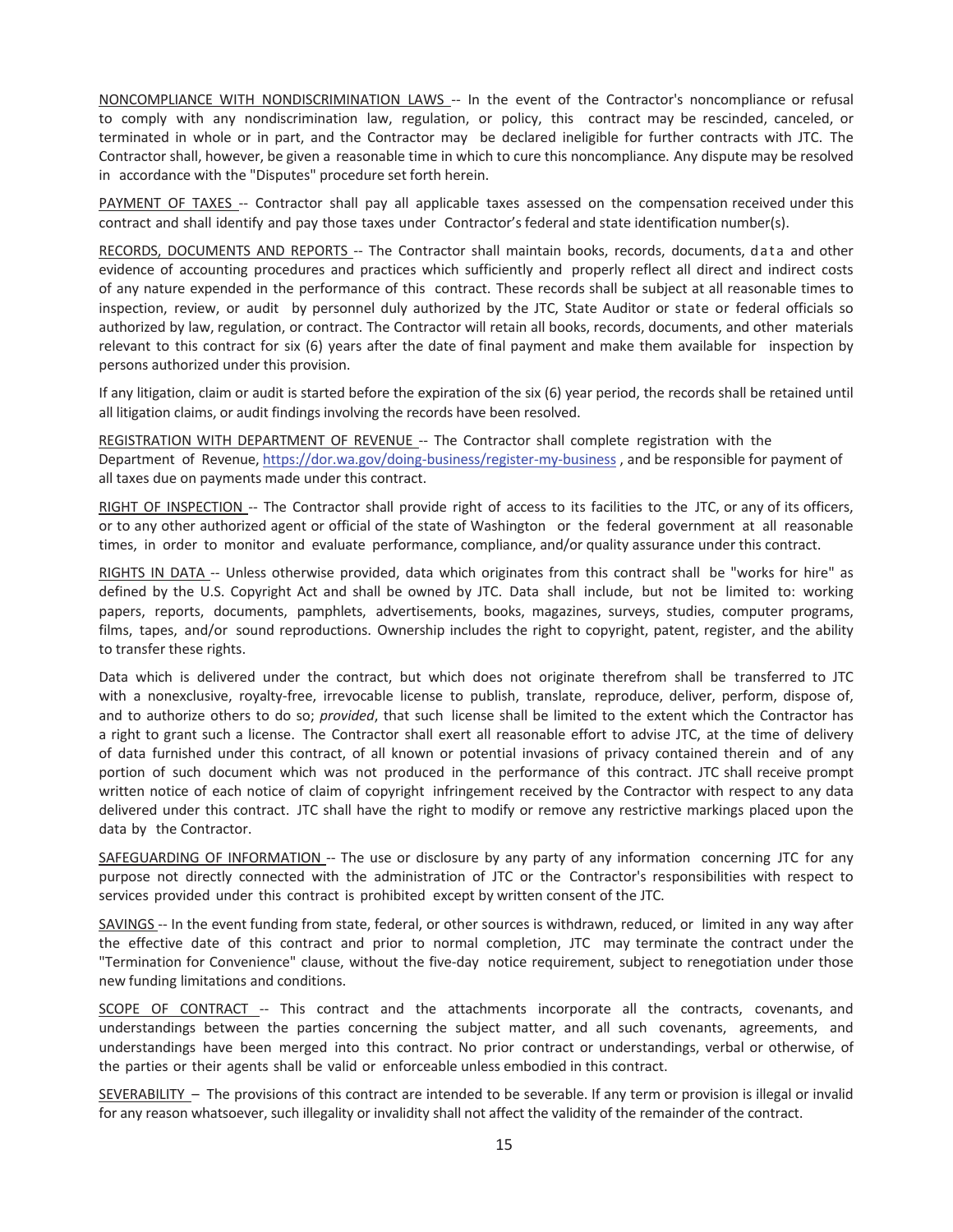NONCOMPLIANCE WITH NONDISCRIMINATION LAWS -- In the event of the Contractor's noncompliance or refusal to comply with any nondiscrimination law, regulation, or policy, this contract may be rescinded, canceled, or terminated in whole or in part, and the Contractor may be declared ineligible for further contracts with JTC. The Contractor shall, however, be given a reasonable time in which to cure this noncompliance. Any dispute may be resolved in accordance with the "Disputes" procedure set forth herein.

PAYMENT OF TAXES -- Contractor shall pay all applicable taxes assessed on the compensation received under this contract and shall identify and pay those taxes under Contractor's federal and state identification number(s).

RECORDS, DOCUMENTS AND REPORTS -- The Contractor shall maintain books, records, documents, data and other evidence of accounting procedures and practices which sufficiently and properly reflect all direct and indirect costs of any nature expended in the performance of this contract. These records shall be subject at all reasonable times to inspection, review, or audit by personnel duly authorized by the JTC, State Auditor or state or federal officials so authorized by law, regulation, or contract. The Contractor will retain all books, records, documents, and other materials relevant to this contract for six (6) years after the date of final payment and make them available for inspection by persons authorized under this provision.

If any litigation, claim or audit is started before the expiration of the six (6) year period, the records shall be retained until all litigation claims, or audit findings involving the records have been resolved.

REGISTRATION WITH DEPARTMENT OF REVENUE -- The Contractor shall complete registration with the Department of Revenue, https://dor.wa.gov/doing-business/register-my-business, and be responsible for payment of all taxes due on payments made under this contract.

RIGHT OF INSPECTION -- The Contractor shall provide right of access to its facilities to the JTC, or any of its officers, or to any other authorized agent or official of the state of Washington or the federal government at all reasonable times, in order to monitor and evaluate performance, compliance, and/or quality assurance under this contract.

RIGHTS IN DATA -- Unless otherwise provided, data which originates from this contract shall be "works for hire" as defined by the U.S. Copyright Act and shall be owned by JTC. Data shall include, but not be limited to: working papers, reports, documents, pamphlets, advertisements, books, magazines, surveys, studies, computer programs, films, tapes, and/or sound reproductions. Ownership includes the right to copyright, patent, register, and the ability to transfer these rights.

Data which is delivered under the contract, but which does not originate therefrom shall be transferred to JTC with a nonexclusive, royalty-free, irrevocable license to publish, translate, reproduce, deliver, perform, dispose of, and to authorize others to do so; *provided*, that such license shall be limited to the extent which the Contractor has a right to grant such a license. The Contractor shall exert all reasonable effort to advise JTC, at the time of delivery of data furnished under this contract, of all known or potential invasions of privacy contained therein and of any portion of such document which was not produced in the performance of this contract. JTC shall receive prompt written notice of each notice of claim of copyright infringement received by the Contractor with respect to any data delivered under this contract. JTC shall have the right to modify or remove any restrictive markings placed upon the data by the Contractor.

SAFEGUARDING OF INFORMATION -- The use or disclosure by any party of any information concerning JTC for any purpose not directly connected with the administration of JTC or the Contractor's responsibilities with respect to services provided under this contract is prohibited except by written consent of the JTC.

SAVINGS -- In the event funding from state, federal, or other sources is withdrawn, reduced, or limited in any way after the effective date of this contract and prior to normal completion, JTC may terminate the contract under the "Termination for Convenience" clause, without the five-day notice requirement, subject to renegotiation under those new funding limitations and conditions.

SCOPE OF CONTRACT -- This contract and the attachments incorporate all the contracts, covenants, and understandings between the parties concerning the subject matter, and all such covenants, agreements, and understandings have been merged into this contract. No prior contract or understandings, verbal or otherwise, of the parties or their agents shall be valid or enforceable unless embodied in this contract.

SEVERABILITY – The provisions of this contract are intended to be severable. If any term or provision is illegal or invalid for any reason whatsoever, such illegality or invalidity shall not affect the validity of the remainder of the contract.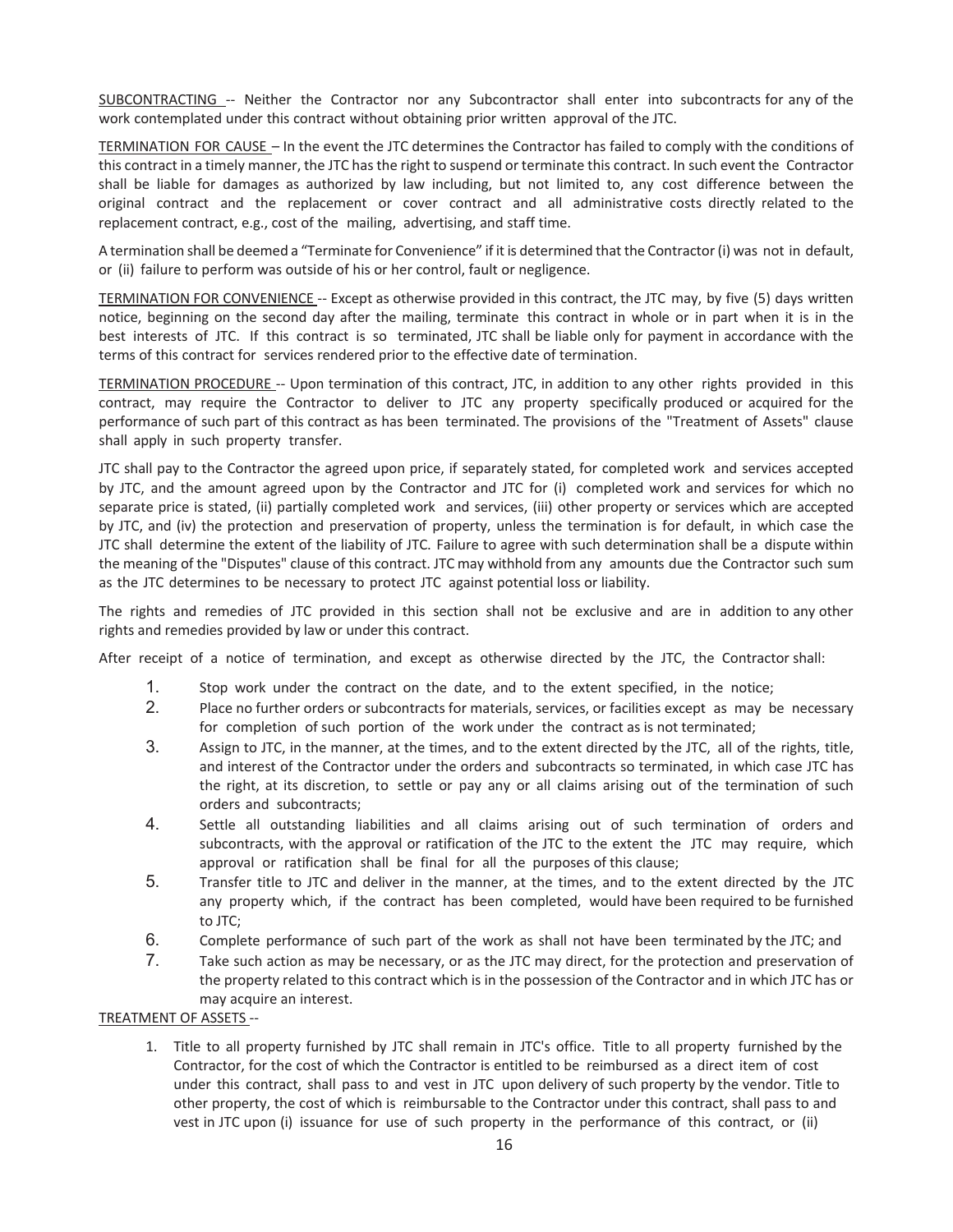SUBCONTRACTING -- Neither the Contractor nor any Subcontractor shall enter into subcontracts for any of the work contemplated under this contract without obtaining prior written approval of the JTC.

TERMINATION FOR CAUSE – In the event the JTC determines the Contractor has failed to comply with the conditions of this contract in a timely manner, the JTC hasthe right to suspend or terminate this contract. In such event the Contractor shall be liable for damages as authorized by law including, but not limited to, any cost difference between the original contract and the replacement or cover contract and all administrative costs directly related to the replacement contract, e.g., cost of the mailing, advertising, and staff time.

A termination shall be deemed a "Terminate for Convenience" if it is determined that the Contractor (i) was not in default, or (ii) failure to perform was outside of his or her control, fault or negligence.

TERMINATION FOR CONVENIENCE -- Except as otherwise provided in this contract, the JTC may, by five (5) days written notice, beginning on the second day after the mailing, terminate this contract in whole or in part when it is in the best interests of JTC. If this contract is so terminated, JTC shall be liable only for payment in accordance with the terms of this contract for services rendered prior to the effective date of termination.

TERMINATION PROCEDURE -- Upon termination of this contract, JTC, in addition to any other rights provided in this contract, may require the Contractor to deliver to JTC any property specifically produced or acquired for the performance of such part of this contract as has been terminated. The provisions of the "Treatment of Assets" clause shall apply in such property transfer.

JTC shall pay to the Contractor the agreed upon price, if separately stated, for completed work and services accepted by JTC, and the amount agreed upon by the Contractor and JTC for (i) completed work and services for which no separate price is stated, (ii) partially completed work and services, (iii) other property or services which are accepted by JTC, and (iv) the protection and preservation of property, unless the termination is for default, in which case the JTC shall determine the extent of the liability of JTC. Failure to agree with such determination shall be a dispute within the meaning of the "Disputes" clause of this contract. JTC may withhold from any amounts due the Contractor such sum as the JTC determines to be necessary to protect JTC against potential loss or liability.

The rights and remedies of JTC provided in this section shall not be exclusive and are in addition to any other rights and remedies provided by law or under this contract.

After receipt of a notice of termination, and except as otherwise directed by the JTC, the Contractor shall:

- 1. Stop work under the contract on the date, and to the extent specified, in the notice;
- 2. Place no further orders or subcontracts for materials, services, or facilities except as may be necessary for completion of such portion of the work under the contract as is not terminated;
- 3. Assign to JTC, in the manner, at the times, and to the extent directed by the JTC, all of the rights, title, and interest of the Contractor under the orders and subcontracts so terminated, in which case JTC has the right, at its discretion, to settle or pay any or all claims arising out of the termination of such orders and subcontracts;
- 4. Settle all outstanding liabilities and all claims arising out of such termination of orders and subcontracts, with the approval or ratification of the JTC to the extent the JTC may require, which approval or ratification shall be final for all the purposes of this clause;
- 5. Transfer title to JTC and deliver in the manner, at the times, and to the extent directed by the JTC any property which, if the contract has been completed, would have been required to be furnished to JTC;
- 6. Complete performance of such part of the work as shall not have been terminated by the JTC; and
- 7. Take such action as may be necessary, or as the JTC may direct, for the protection and preservation of the property related to this contract which is in the possession of the Contractor and in which JTC has or may acquire an interest.

#### TREATMENT OF ASSETS --

1. Title to all property furnished by JTC shall remain in JTC's office. Title to all property furnished by the Contractor, for the cost of which the Contractor is entitled to be reimbursed as a direct item of cost under this contract, shall pass to and vest in JTC upon delivery of such property by the vendor. Title to other property, the cost of which is reimbursable to the Contractor under this contract, shall pass to and vest in JTC upon (i) issuance for use of such property in the performance of this contract, or (ii)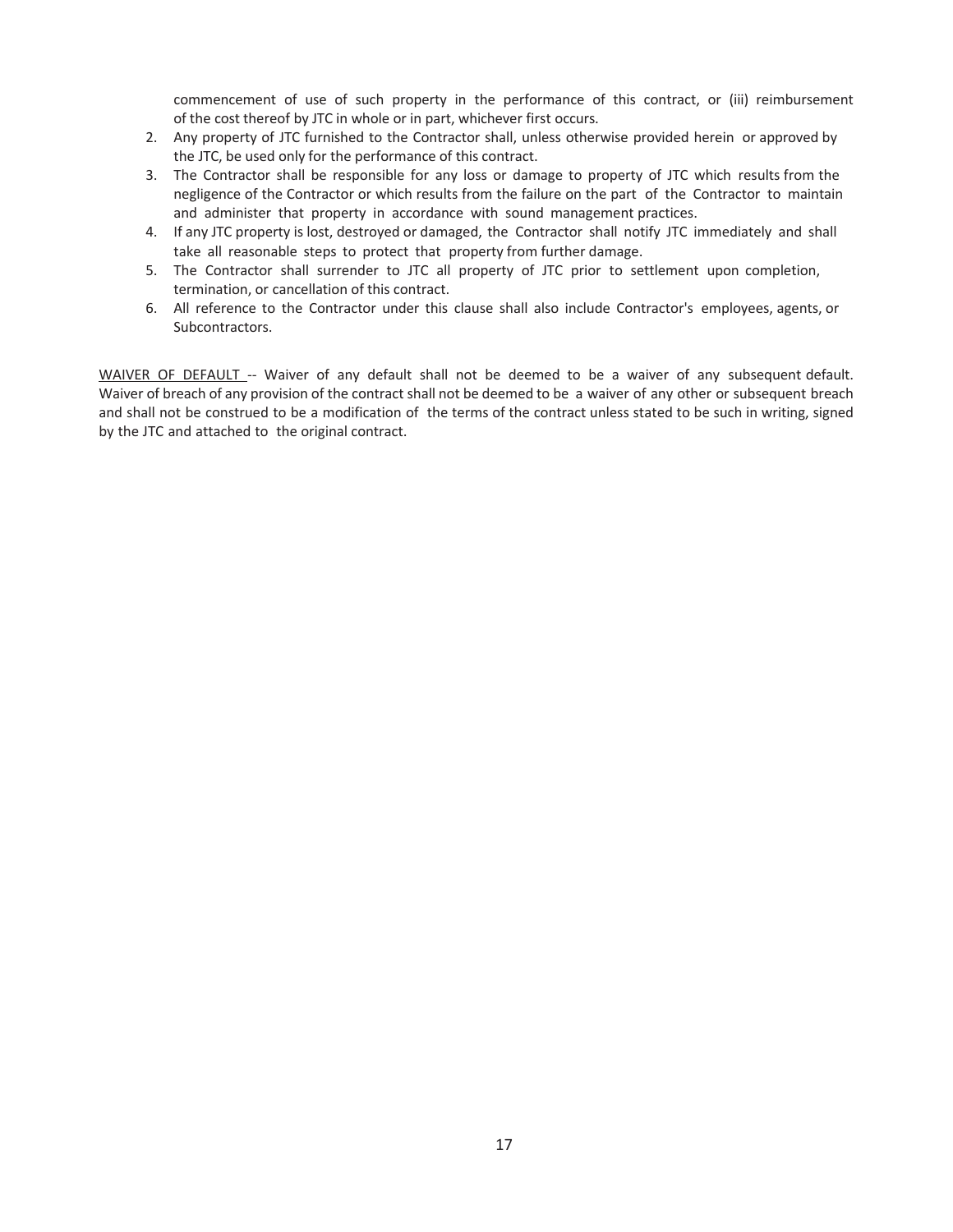commencement of use of such property in the performance of this contract, or (iii) reimbursement of the cost thereof by JTC in whole or in part, whichever first occurs.

- 2. Any property of JTC furnished to the Contractor shall, unless otherwise provided herein or approved by the JTC, be used only for the performance of this contract.
- 3. The Contractor shall be responsible for any loss or damage to property of JTC which results from the negligence of the Contractor or which results from the failure on the part of the Contractor to maintain and administer that property in accordance with sound management practices.
- 4. If any JTC property is lost, destroyed or damaged, the Contractor shall notify JTC immediately and shall take all reasonable steps to protect that property from further damage.
- 5. The Contractor shall surrender to JTC all property of JTC prior to settlement upon completion, termination, or cancellation of this contract.
- 6. All reference to the Contractor under this clause shall also include Contractor's employees, agents, or Subcontractors.

WAIVER OF DEFAULT -- Waiver of any default shall not be deemed to be a waiver of any subsequent default. Waiver of breach of any provision of the contract shall not be deemed to be a waiver of any other or subsequent breach and shall not be construed to be a modification of the terms of the contract unless stated to be such in writing, signed by the JTC and attached to the original contract.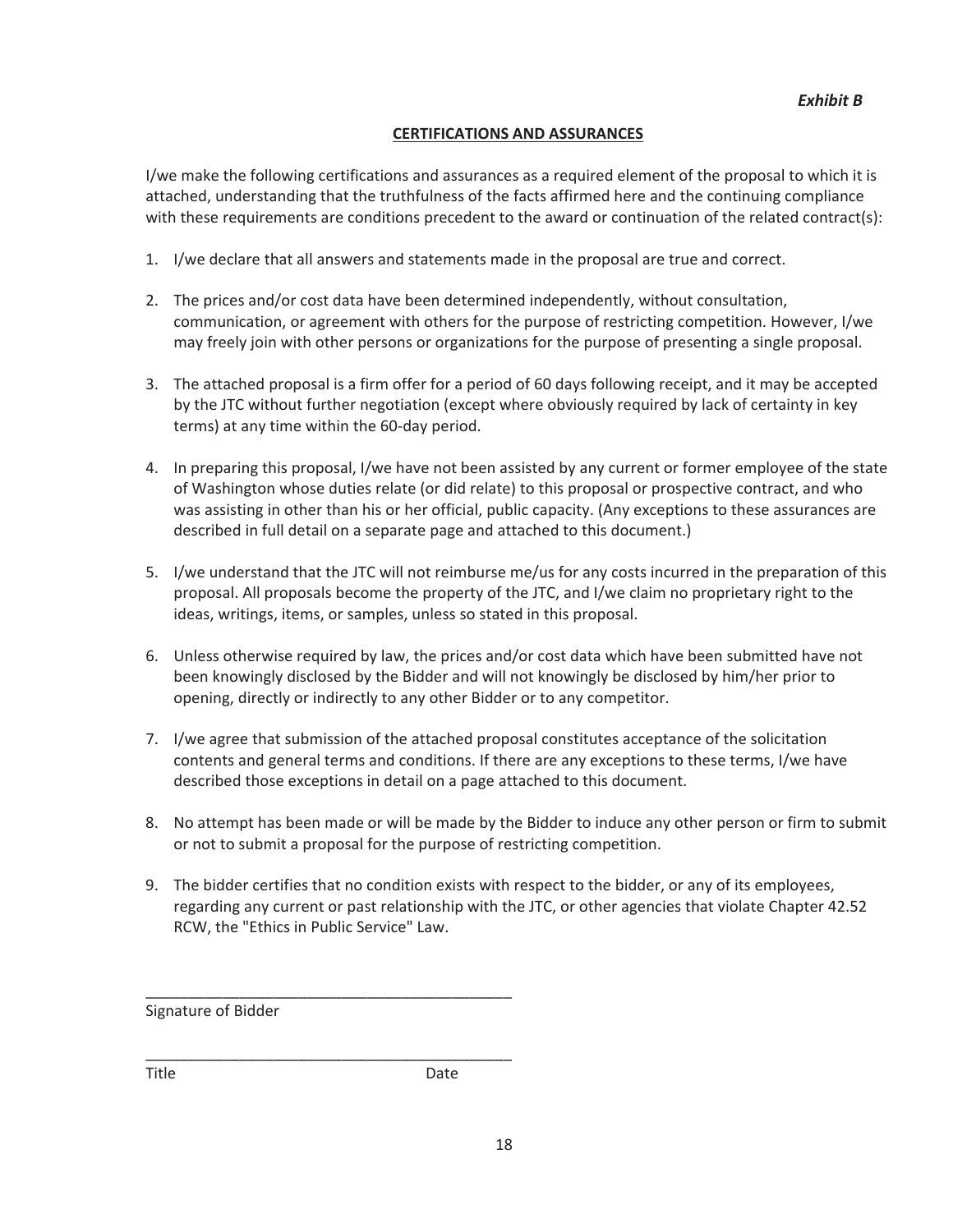#### **CERTIFICATIONS AND ASSURANCES**

I/we make the following certifications and assurances as a required element of the proposal to which it is attached, understanding that the truthfulness of the facts affirmed here and the continuing compliance with these requirements are conditions precedent to the award or continuation of the related contract(s):

- 1. I/we declare that all answers and statements made in the proposal are true and correct.
- 2. The prices and/or cost data have been determined independently, without consultation, communication, or agreement with others for the purpose of restricting competition. However, I/we may freely join with other persons or organizations for the purpose of presenting a single proposal.
- 3. The attached proposal is a firm offer for a period of 60 days following receipt, and it may be accepted by the JTC without further negotiation (except where obviously required by lack of certainty in key terms) at any time within the 60-day period.
- 4. In preparing this proposal, I/we have not been assisted by any current or former employee of the state of Washington whose duties relate (or did relate) to this proposal or prospective contract, and who was assisting in other than his or her official, public capacity. (Any exceptions to these assurances are described in full detail on a separate page and attached to this document.)
- 5. I/we understand that the JTC will not reimburse me/us for any costs incurred in the preparation of this proposal. All proposals become the property of the JTC, and I/we claim no proprietary right to the ideas, writings, items, or samples, unless so stated in this proposal.
- 6. Unless otherwise required by law, the prices and/or cost data which have been submitted have not been knowingly disclosed by the Bidder and will not knowingly be disclosed by him/her prior to opening, directly or indirectly to any other Bidder or to any competitor.
- 7. I/we agree that submission of the attached proposal constitutes acceptance of the solicitation contents and general terms and conditions. If there are any exceptions to these terms, I/we have described those exceptions in detail on a page attached to this document.
- 8. No attempt has been made or will be made by the Bidder to induce any other person or firm to submit or not to submit a proposal for the purpose of restricting competition.
- 9. The bidder certifies that no condition exists with respect to the bidder, or any of its employees, regarding any current or past relationship with the JTC, or other agencies that violate Chapter 42.52 RCW, the "Ethics in Public Service" Law.

Signature of Bidder

\_\_\_\_\_\_\_\_\_\_\_\_\_\_\_\_\_\_\_\_\_\_\_\_\_\_\_\_\_\_\_\_\_\_\_\_\_\_\_\_\_\_\_

\_\_\_\_\_\_\_\_\_\_\_\_\_\_\_\_\_\_\_\_\_\_\_\_\_\_\_\_\_\_\_\_\_\_\_\_\_\_\_\_\_\_\_

Title **Date**